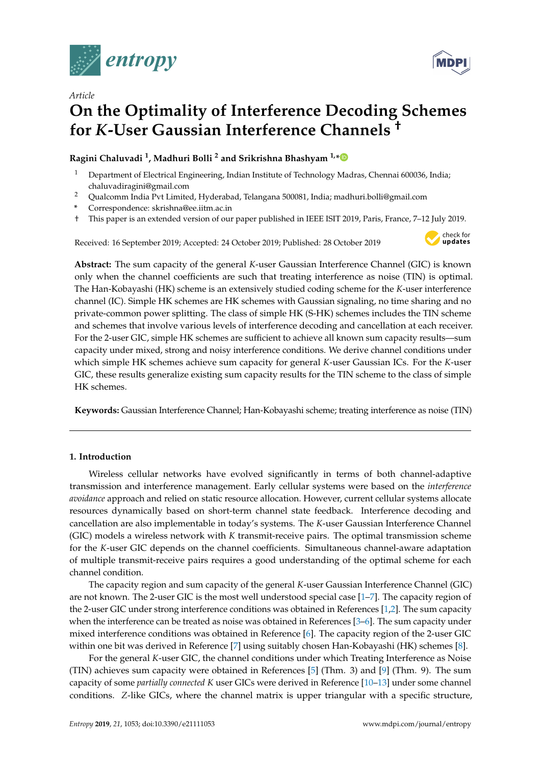

*Article*



# **On the Optimality of Interference Decoding Schemes for** *K***-User Gaussian Interference Channels †**

**Ragini Chaluvadi <sup>1</sup> , Madhuri Bolli <sup>2</sup> and Srikrishna Bhashyam 1,[\\*](https://orcid.org/0000-0001-9953-0914)**

- <sup>1</sup> Department of Electrical Engineering, Indian Institute of Technology Madras, Chennai 600036, India; chaluvadiragini@gmail.com
- <sup>2</sup> Qualcomm India Pvt Limited, Hyderabad, Telangana 500081, India; madhuri.bolli@gmail.com
- **\*** Correspondence: skrishna@ee.iitm.ac.in
- † This paper is an extended version of our paper published in IEEE ISIT 2019, Paris, France, 7–12 July 2019.

Received: 16 September 2019; Accepted: 24 October 2019; Published: 28 October 2019



**Abstract:** The sum capacity of the general *K*-user Gaussian Interference Channel (GIC) is known only when the channel coefficients are such that treating interference as noise (TIN) is optimal. The Han-Kobayashi (HK) scheme is an extensively studied coding scheme for the *K*-user interference channel (IC). Simple HK schemes are HK schemes with Gaussian signaling, no time sharing and no private-common power splitting. The class of simple HK (S-HK) schemes includes the TIN scheme and schemes that involve various levels of interference decoding and cancellation at each receiver. For the 2-user GIC, simple HK schemes are sufficient to achieve all known sum capacity results—sum capacity under mixed, strong and noisy interference conditions. We derive channel conditions under which simple HK schemes achieve sum capacity for general *K*-user Gaussian ICs. For the *K*-user GIC, these results generalize existing sum capacity results for the TIN scheme to the class of simple HK schemes.

**Keywords:** Gaussian Interference Channel; Han-Kobayashi scheme; treating interference as noise (TIN)

## **1. Introduction**

Wireless cellular networks have evolved significantly in terms of both channel-adaptive transmission and interference management. Early cellular systems were based on the *interference avoidance* approach and relied on static resource allocation. However, current cellular systems allocate resources dynamically based on short-term channel state feedback. Interference decoding and cancellation are also implementable in today's systems. The *K*-user Gaussian Interference Channel (GIC) models a wireless network with *K* transmit-receive pairs. The optimal transmission scheme for the *K*-user GIC depends on the channel coefficients. Simultaneous channel-aware adaptation of multiple transmit-receive pairs requires a good understanding of the optimal scheme for each channel condition.

The capacity region and sum capacity of the general *K*-user Gaussian Interference Channel (GIC) are not known. The 2-user GIC is the most well understood special case [\[1](#page-28-0)[–7\]](#page-28-1). The capacity region of the 2-user GIC under strong interference conditions was obtained in References [\[1,](#page-28-0)[2\]](#page-28-2). The sum capacity when the interference can be treated as noise was obtained in References [\[3–](#page-28-3)[6\]](#page-28-4). The sum capacity under mixed interference conditions was obtained in Reference [\[6\]](#page-28-4). The capacity region of the 2-user GIC within one bit was derived in Reference [\[7\]](#page-28-1) using suitably chosen Han-Kobayashi (HK) schemes [\[8\]](#page-28-5).

For the general *K*-user GIC, the channel conditions under which Treating Interference as Noise (TIN) achieves sum capacity were obtained in References [\[5\]](#page-28-6) (Thm. 3) and [\[9\]](#page-28-7) (Thm. 9). The sum capacity of some *partially connected K* user GICs were derived in Reference [\[10–](#page-28-8)[13\]](#page-28-9) under some channel conditions. *Z*-like GICs, where the channel matrix is upper triangular with a specific structure,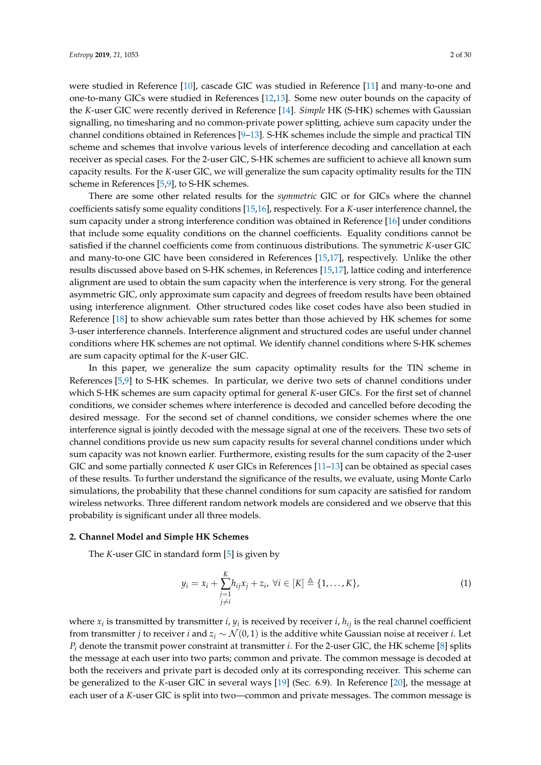were studied in Reference [\[10\]](#page-28-8), cascade GIC was studied in Reference [\[11\]](#page-28-10) and many-to-one and one-to-many GICs were studied in References [\[12](#page-28-11)[,13\]](#page-28-9). Some new outer bounds on the capacity of the *K*-user GIC were recently derived in Reference [\[14\]](#page-28-12). *Simple* HK (S-HK) schemes with Gaussian signalling, no timesharing and no common-private power splitting, achieve sum capacity under the channel conditions obtained in References [\[9](#page-28-7)[–13\]](#page-28-9). S-HK schemes include the simple and practical TIN scheme and schemes that involve various levels of interference decoding and cancellation at each receiver as special cases. For the 2-user GIC, S-HK schemes are sufficient to achieve all known sum capacity results. For the *K*-user GIC, we will generalize the sum capacity optimality results for the TIN scheme in References [\[5,](#page-28-6)[9\]](#page-28-7), to S-HK schemes.

There are some other related results for the *symmetric* GIC or for GICs where the channel coefficients satisfy some equality conditions [\[15](#page-28-13)[,16\]](#page-28-14), respectively. For a *K*-user interference channel, the sum capacity under a strong interference condition was obtained in Reference [\[16\]](#page-28-14) under conditions that include some equality conditions on the channel coefficients. Equality conditions cannot be satisfied if the channel coefficients come from continuous distributions. The symmetric *K*-user GIC and many-to-one GIC have been considered in References [\[15,](#page-28-13)[17\]](#page-28-15), respectively. Unlike the other results discussed above based on S-HK schemes, in References [\[15](#page-28-13)[,17\]](#page-28-15), lattice coding and interference alignment are used to obtain the sum capacity when the interference is very strong. For the general asymmetric GIC, only approximate sum capacity and degrees of freedom results have been obtained using interference alignment. Other structured codes like coset codes have also been studied in Reference [\[18\]](#page-28-16) to show achievable sum rates better than those achieved by HK schemes for some 3-user interference channels. Interference alignment and structured codes are useful under channel conditions where HK schemes are not optimal. We identify channel conditions where S-HK schemes are sum capacity optimal for the *K*-user GIC.

In this paper, we generalize the sum capacity optimality results for the TIN scheme in References [\[5,](#page-28-6)[9\]](#page-28-7) to S-HK schemes. In particular, we derive two sets of channel conditions under which S-HK schemes are sum capacity optimal for general *K*-user GICs. For the first set of channel conditions, we consider schemes where interference is decoded and cancelled before decoding the desired message. For the second set of channel conditions, we consider schemes where the one interference signal is jointly decoded with the message signal at one of the receivers. These two sets of channel conditions provide us new sum capacity results for several channel conditions under which sum capacity was not known earlier. Furthermore, existing results for the sum capacity of the 2-user GIC and some partially connected *K* user GICs in References [\[11](#page-28-10)[–13\]](#page-28-9) can be obtained as special cases of these results. To further understand the significance of the results, we evaluate, using Monte Carlo simulations, the probability that these channel conditions for sum capacity are satisfied for random wireless networks. Three different random network models are considered and we observe that this probability is significant under all three models.

#### **2. Channel Model and Simple HK Schemes**

The *K*-user GIC in standard form [\[5\]](#page-28-6) is given by

$$
y_i = x_i + \sum_{\substack{j=1 \ j \neq i}}^K h_{ij} x_j + z_i, \ \forall i \in [K] \triangleq \{1, \dots, K\},\tag{1}
$$

where  $x_i$  is transmitted by transmitter *i*,  $y_i$  is received by receiver *i*,  $h_{ij}$  is the real channel coefficient from transmitter *j* to receiver *i* and  $z_i \sim \mathcal{N}(0, 1)$  is the additive white Gaussian noise at receiver *i*. Let *P<sup>i</sup>* denote the transmit power constraint at transmitter *i*. For the 2-user GIC, the HK scheme [\[8\]](#page-28-5) splits the message at each user into two parts; common and private. The common message is decoded at both the receivers and private part is decoded only at its corresponding receiver. This scheme can be generalized to the *K*-user GIC in several ways [\[19\]](#page-28-17) (Sec. 6.9). In Reference [\[20\]](#page-29-0), the message at each user of a *K*-user GIC is split into two—common and private messages. The common message is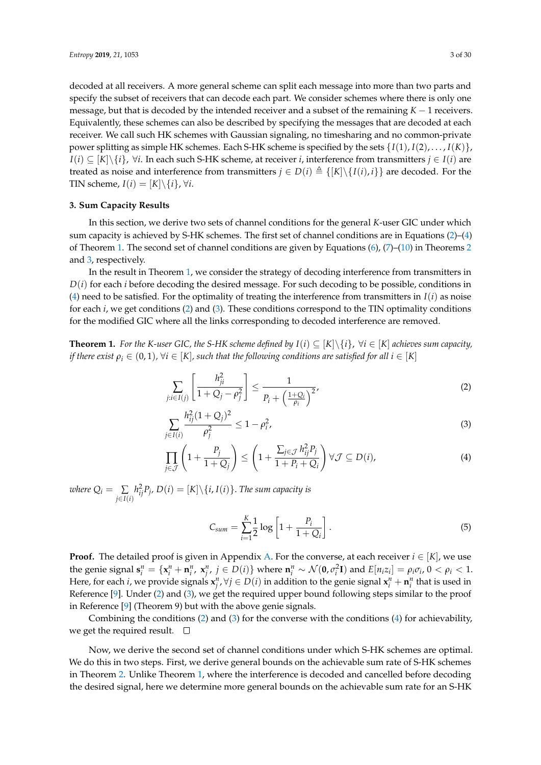decoded at all receivers. A more general scheme can split each message into more than two parts and specify the subset of receivers that can decode each part. We consider schemes where there is only one message, but that is decoded by the intended receiver and a subset of the remaining *K* − 1 receivers. Equivalently, these schemes can also be described by specifying the messages that are decoded at each receiver. We call such HK schemes with Gaussian signaling, no timesharing and no common-private power splitting as simple HK schemes. Each S-HK scheme is specified by the sets  $\{I(1), I(2), \ldots, I(K)\}\$ *I*(*i*) ⊆  $[K]\{i\}$ , ∀*i*. In each such S-HK scheme, at receiver *i*, interference from transmitters *j* ∈ *I*(*i*) are treated as noise and interference from transmitters  $j \in D(i) \triangleq \{[K]\setminus\{I(i),i\}\}\$ are decoded. For the TIN scheme,  $I(i) = [K] \setminus \{i\}, \forall i$ .

#### **3. Sum Capacity Results**

In this section, we derive two sets of channel conditions for the general *K*-user GIC under which sum capacity is achieved by S-HK schemes. The first set of channel conditions are in Equations [\(2\)](#page-2-0)–[\(4\)](#page-2-1) of Theorem [1.](#page-2-2) The second set of channel conditions are given by Equations [\(6\)](#page-3-0), [\(7\)](#page-3-1)–[\(10\)](#page-3-2) in Theorems [2](#page-3-3) and [3,](#page-3-4) respectively.

In the result in Theorem [1,](#page-2-2) we consider the strategy of decoding interference from transmitters in  $D(i)$  for each *i* before decoding the desired message. For such decoding to be possible, conditions in [\(4\)](#page-2-1) need to be satisfied. For the optimality of treating the interference from transmitters in  $I(i)$  as noise for each *i*, we get conditions [\(2\)](#page-2-0) and [\(3\)](#page-2-3). These conditions correspond to the TIN optimality conditions for the modified GIC where all the links corresponding to decoded interference are removed.

<span id="page-2-2"></span>**Theorem 1.** For the *K*-user GIC, the S-HK scheme defined by  $I(i) \subseteq [K] \setminus \{i\}$ ,  $\forall i \in [K]$  achieves sum capacity, *if there exist*  $\rho_i \in (0,1)$ *,*  $\forall i \in [K]$ *, such that the following conditions are satisfied for all*  $i \in [K]$ 

$$
\sum_{j:i\in I(j)} \left[ \frac{h_{ji}^2}{1 + Q_j - \rho_j^2} \right] \le \frac{1}{P_i + \left( \frac{1 + Q_i}{\rho_i} \right)^2},\tag{2}
$$

$$
\sum_{j \in I(i)} \frac{h_{ij}^2 (1 + Q_j)^2}{\rho_j^2} \le 1 - \rho_i^2,\tag{3}
$$

$$
\prod_{j\in\mathcal{J}}\left(1+\frac{P_j}{1+Q_j}\right)\leq\left(1+\frac{\sum_{j\in\mathcal{J}}h_{ij}^2P_j}{1+P_i+Q_i}\right)\forall\mathcal{J}\subseteq D(i),\tag{4}
$$

*where*  $Q_i = \sum_{j \in I(i)}$  $h_{ij}^2 P_j$ ,  $D(i) = [K]\backslash\{i,I(i)\}.$  *The sum capacity is* 

<span id="page-2-4"></span><span id="page-2-3"></span><span id="page-2-1"></span><span id="page-2-0"></span>
$$
C_{sum} = \sum_{i=1}^{K} \frac{1}{2} \log \left[ 1 + \frac{P_i}{1 + Q_i} \right].
$$
 (5)

**Proof.** The detailed proof is given in Appendix [A.](#page-12-0) For the converse, at each receiver  $i \in [K]$ , we use the genie signal  $\mathbf{s}_i^n = \{\mathbf{x}_i^n + \mathbf{n}_i^n, \ \mathbf{x}_j^n, \ j \in D(i)\}$  where  $\mathbf{n}_i^n \sim \mathcal{N}(\mathbf{0}, \sigma_i^2 \mathbf{I})$  and  $E[n_i z_i] = \rho_i \sigma_i$ ,  $0 < \rho_i < 1$ . Here, for each *i*, we provide signals  $\mathbf{x}_j^n$ ,  $\forall j \in D(i)$  in addition to the genie signal  $\mathbf{x}_i^n + \mathbf{n}_i^n$  that is used in Reference [\[9\]](#page-28-7). Under [\(2\)](#page-2-0) and [\(3\)](#page-2-3), we get the required upper bound following steps similar to the proof in Reference [\[9\]](#page-28-7) (Theorem 9) but with the above genie signals.

Combining the conditions [\(2\)](#page-2-0) and [\(3\)](#page-2-3) for the converse with the conditions [\(4\)](#page-2-1) for achievability, we get the required result.  $\square$ 

Now, we derive the second set of channel conditions under which S-HK schemes are optimal. We do this in two steps. First, we derive general bounds on the achievable sum rate of S-HK schemes in Theorem [2.](#page-3-3) Unlike Theorem [1,](#page-2-2) where the interference is decoded and cancelled before decoding the desired signal, here we determine more general bounds on the achievable sum rate for an S-HK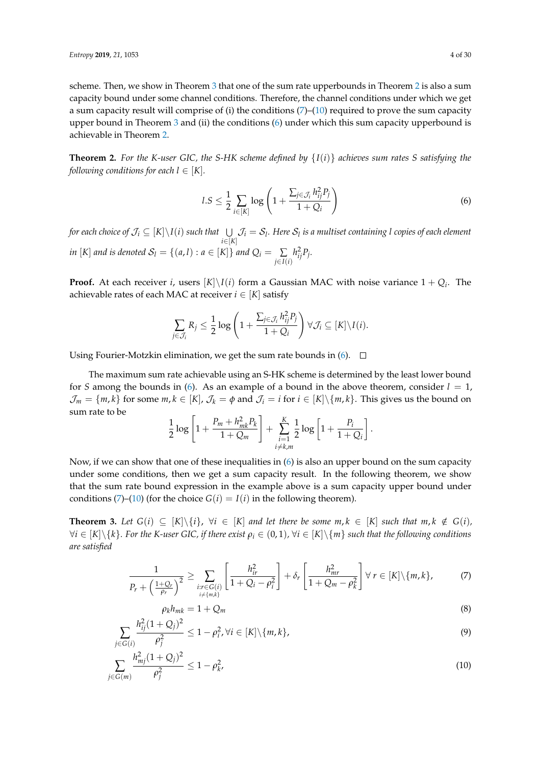scheme. Then, we show in Theorem [3](#page-3-4) that one of the sum rate upperbounds in Theorem [2](#page-3-3) is also a sum capacity bound under some channel conditions. Therefore, the channel conditions under which we get a sum capacity result will comprise of (i) the conditions  $(7)$ – $(10)$  required to prove the sum capacity upper bound in Theorem [3](#page-3-4) and (ii) the conditions  $(6)$  under which this sum capacity upperbound is achievable in Theorem [2.](#page-3-3)

<span id="page-3-3"></span>**Theorem 2.** *For the K-user GIC, the S-HK scheme defined by* {*I*(*i*)} *achieves sum rates S satisfying the following conditions for each*  $l \in [K]$ *.* 

<span id="page-3-0"></span>
$$
l.S \leq \frac{1}{2} \sum_{i \in [K]} \log \left( 1 + \frac{\sum_{j \in \mathcal{J}_i} h_{ij}^2 P_j}{1 + Q_i} \right) \tag{6}
$$

*for each choice of*  $\mathcal{J}_i \subseteq [K] \backslash I(i)$  *such that*  $\bigcup\limits_{i \in [K]} \mathcal{J}_i = \mathcal{S}_l.$  Here  $\mathcal{S}_l$  is a multiset containing  $l$  copies of each element *in* [*K*] *and is denoted*  $\mathcal{S}_l = \{(a, l) : a \in [K]\}$  *and*  $Q_i = \sum_{j \in I(i)}$  $h_{ij}^2 P_j$ .

**Proof.** At each receiver *i*, users  $[K] \setminus I(i)$  form a Gaussian MAC with noise variance  $1 + Q_i$ . The achievable rates of each MAC at receiver  $i \in [K]$  satisfy

$$
\sum_{j\in\mathcal{J}_i} R_j \leq \frac{1}{2} \log \left( 1 + \frac{\sum_{j\in\mathcal{J}_i} h_{ij}^2 P_j}{1 + Q_i} \right) \forall \mathcal{J}_i \subseteq [K] \setminus I(i).
$$

Using Fourier-Motzkin elimination, we get the sum rate bounds in  $(6)$ .  $\Box$ 

The maximum sum rate achievable using an S-HK scheme is determined by the least lower bound for *S* among the bounds in [\(6\)](#page-3-0). As an example of a bound in the above theorem, consider  $l = 1$ ,  $\mathcal{J}_m = \{m, k\}$  for some  $m, k \in [K]$ ,  $\mathcal{J}_k = \phi$  and  $\mathcal{J}_i = i$  for  $i \in [K] \setminus \{m, k\}$ . This gives us the bound on sum rate to be

$$
\frac{1}{2}\log\left[1+\frac{P_m+h_{mk}^2P_k}{1+Q_m}\right]+\sum_{\substack{i=1\\i\neq k,m}}^K\frac{1}{2}\log\left[1+\frac{P_i}{1+Q_i}\right].
$$

Now, if we can show that one of these inequalities in [\(6\)](#page-3-0) is also an upper bound on the sum capacity under some conditions, then we get a sum capacity result. In the following theorem, we show that the sum rate bound expression in the example above is a sum capacity upper bound under conditions [\(7\)](#page-3-1)–[\(10\)](#page-3-2) (for the choice  $G(i) = I(i)$  in the following theorem).

<span id="page-3-4"></span>**Theorem 3.** Let  $G(i) \subseteq [K] \setminus \{i\}$ ,  $\forall i \in [K]$  and let there be some  $m, k \in [K]$  such that  $m, k \notin G(i)$ ,  $∀i ∈ [K] \{k\}$ . For the K-user GIC, if there exist  $ρ_i ∈ (0, 1)$ ,  $∀i ∈ [K] \{m\}$  such that the following conditions *are satisfied*

$$
\frac{1}{P_r + \left(\frac{1+Q_r}{\rho_r}\right)^2} \ge \sum_{\substack{i:r \in G(i) \\ i \neq \{m,k\}}} \left[\frac{h_{ir}^2}{1+Q_i - \rho_i^2}\right] + \delta_r \left[\frac{h_{mr}^2}{1+Q_m - \rho_k^2}\right] \forall r \in [K] \setminus \{m,k\},\tag{7}
$$

<span id="page-3-6"></span><span id="page-3-5"></span><span id="page-3-2"></span><span id="page-3-1"></span>
$$
\rho_k h_{mk} = 1 + Q_m \tag{8}
$$

$$
\sum_{j\in G(i)} \frac{h_{ij}^2 (1+Q_j)^2}{\rho_j^2} \le 1 - \rho_i^2, \forall i \in [K] \setminus \{m, k\},\tag{9}
$$

$$
\sum_{j \in G(m)} \frac{h_{mj}^2 (1 + Q_j)^2}{\rho_j^2} \le 1 - \rho_{k'}^2 \tag{10}
$$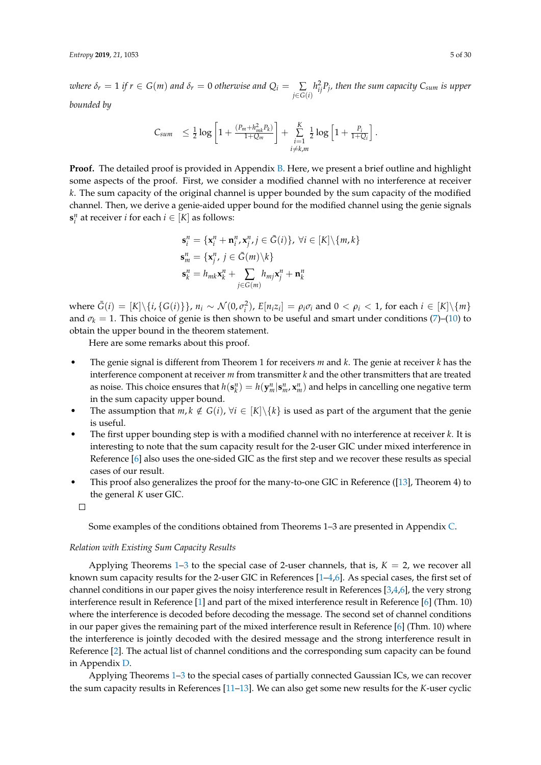*where*  $\delta_r = 1$  *if*  $r \in G(m)$  *and*  $\delta_r = 0$  *otherwise and*  $Q_i = \sum_{j \in G(i)}$ *h* 2 *ijP<sup>j</sup> , then the sum capacity Csum is upper bounded by*

$$
C_{sum} \leq \frac{1}{2} \log \left[ 1 + \frac{(P_m + h_{mk}^2 P_k)}{1 + Q_m} \right] + \sum_{\substack{i=1 \\ i \neq k,m}}^K \frac{1}{2} \log \left[ 1 + \frac{P_i}{1 + Q_i} \right].
$$

**Proof.** The detailed proof is provided in Appendix [B.](#page-14-0) Here, we present a brief outline and highlight some aspects of the proof. First, we consider a modified channel with no interference at receiver *k*. The sum capacity of the original channel is upper bounded by the sum capacity of the modified channel. Then, we derive a genie-aided upper bound for the modified channel using the genie signals  $\mathbf{s}_i^n$  at receiver *i* for each  $i \in [K]$  as follows:

$$
\mathbf{s}_{i}^{n} = \{ \mathbf{x}_{i}^{n} + \mathbf{n}_{i}^{n}, \mathbf{x}_{j}^{n}, j \in \bar{G}(i) \}, \ \forall i \in [K] \backslash \{ m, k \}
$$
\n
$$
\mathbf{s}_{m}^{n} = \{ \mathbf{x}_{j}^{n}, \ j \in \bar{G}(m) \backslash k \}
$$
\n
$$
\mathbf{s}_{k}^{n} = h_{mk} \mathbf{x}_{k}^{n} + \sum_{j \in G(m)} h_{mj} \mathbf{x}_{j}^{n} + \mathbf{n}_{k}^{n}
$$

where  $\bar{G}(i) = [K] \setminus \{i, \{G(i)\}\}\$ ,  $n_i \sim \mathcal{N}(0, \sigma_i^2)$ ,  $E[n_i z_i] = \rho_i \sigma_i$  and  $0 < \rho_i < 1$ , for each  $i \in [K] \setminus \{m\}$ and  $\sigma_k = 1$ . This choice of genie is then shown to be useful and smart under conditions [\(7\)](#page-3-1)–[\(10\)](#page-3-2) to obtain the upper bound in the theorem statement.

Here are some remarks about this proof.

- The genie signal is different from Theorem 1 for receivers *m* and *k*. The genie at receiver *k* has the interference component at receiver *m* from transmitter *k* and the other transmitters that are treated as noise. This choice ensures that  $h(\mathbf{s}_k^n) = h(\mathbf{y}_m^n | \mathbf{s}_m^n, \mathbf{x}_m^n)$  and helps in cancelling one negative term in the sum capacity upper bound.
- The assumption that  $m, k \notin G(i)$ ,  $\forall i \in [K] \setminus \{k\}$  is used as part of the argument that the genie is useful.
- The first upper bounding step is with a modified channel with no interference at receiver *k*. It is interesting to note that the sum capacity result for the 2-user GIC under mixed interference in Reference [\[6\]](#page-28-4) also uses the one-sided GIC as the first step and we recover these results as special cases of our result.
- This proof also generalizes the proof for the many-to-one GIC in Reference ([\[13\]](#page-28-9), Theorem 4) to the general *K* user GIC.

 $\Box$ 

Some examples of the conditions obtained from Theorems 1–3 are presented in Appendix [C.](#page-17-0)

#### *Relation with Existing Sum Capacity Results*

Applying Theorems  $1-3$  $1-3$  to the special case of 2-user channels, that is,  $K = 2$ , we recover all known sum capacity results for the 2-user GIC in References [\[1](#page-28-0)[–4,](#page-28-18)[6\]](#page-28-4). As special cases, the first set of channel conditions in our paper gives the noisy interference result in References [\[3,](#page-28-3)[4,](#page-28-18)[6\]](#page-28-4), the very strong interference result in Reference [\[1\]](#page-28-0) and part of the mixed interference result in Reference [\[6\]](#page-28-4) (Thm. 10) where the interference is decoded before decoding the message. The second set of channel conditions in our paper gives the remaining part of the mixed interference result in Reference [\[6\]](#page-28-4) (Thm. 10) where the interference is jointly decoded with the desired message and the strong interference result in Reference [\[2\]](#page-28-2). The actual list of channel conditions and the corresponding sum capacity can be found in Appendix [D.](#page-20-0)

Applying Theorems [1–](#page-2-2)[3](#page-3-4) to the special cases of partially connected Gaussian ICs, we can recover the sum capacity results in References [\[11–](#page-28-10)[13\]](#page-28-9). We can also get some new results for the *K*-user cyclic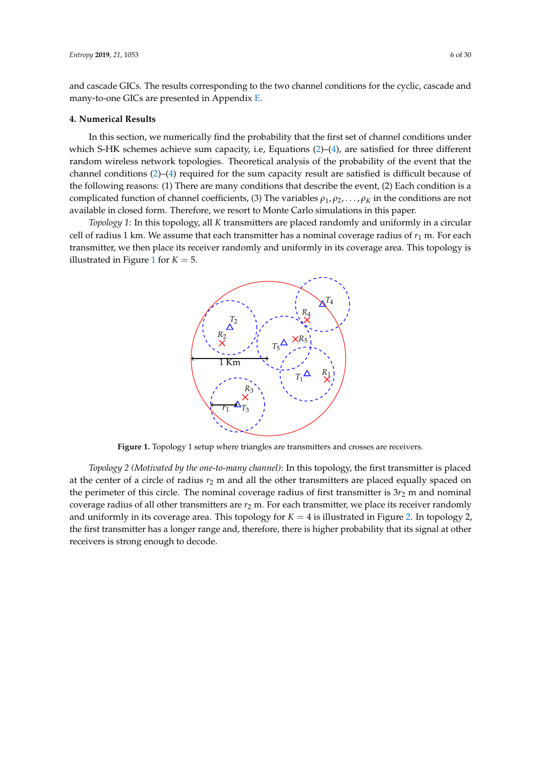and cascade GICs. The results corresponding to the two channel conditions for the cyclic, cascade and many-to-one GICs are presented in Appendix [E.](#page-21-0)

#### **4. Numerical Results**

In this section, we numerically find the probability that the first set of channel conditions under which S-HK schemes achieve sum capacity, i.e, Equations [\(2\)](#page-2-0)–[\(4\)](#page-2-1), are satisfied for three different random wireless network topologies. Theoretical analysis of the probability of the event that the channel conditions [\(2\)](#page-2-0)–[\(4\)](#page-2-1) required for the sum capacity result are satisfied is difficult because of the following reasons: (1) There are many conditions that describe the event, (2) Each condition is a complicated function of channel coefficients, (3) The variables  $\rho_1, \rho_2, \ldots, \rho_K$  in the conditions are not available in closed form. Therefore, we resort to Monte Carlo simulations in this paper.

<span id="page-5-0"></span>*Topology 1*: In this topology, all *K* transmitters are placed randomly and uniformly in a circular cell of radius 1 km. We assume that each transmitter has a nominal coverage radius of  $r_1$  m. For each transmitter, we then place its receiver randomly and uniformly in its coverage area. This topology is illustrated in Figure [1](#page-5-0) for  $K = 5$ .



Figure 1. Topology 1 setup where triangles are transmitters and crosses are receivers.

*Topology 2 (Motivated by the one-to-many channel)*: In this topology, the first transmitter is placed at the center of a circle of radius *r*<sup>2</sup> m and all the other transmitters are placed equally spaced on the perimeter of this circle. The nominal coverage radius of first transmitter is  $3r<sub>2</sub>$  m and nominal coverage radius of all other transmitters are  $r_2$  m. For each transmitter, we place its receiver randomly and uniformly in its coverage area. This topology for  $K = 4$  is illustrated in Figure [2.](#page-6-0) In topology 2, the first transmitter has a longer range and, therefore, there is higher probability that its signal at other receivers is strong enough to decode.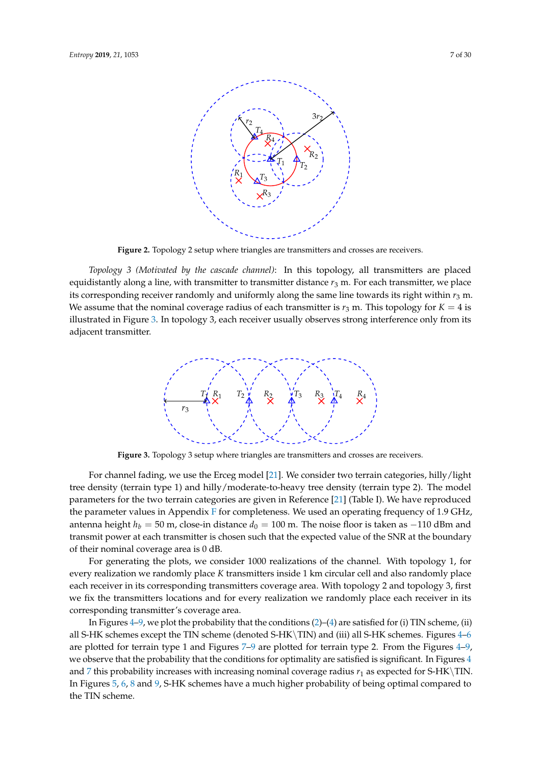<span id="page-6-0"></span>

**Figure 2.** Topology 2 setup where triangles are transmitters and crosses are receivers.

<span id="page-6-1"></span>*Topology 3 (Motivated by the cascade channel)*: In this topology, all transmitters are placed equidistantly along a line, with transmitter to transmitter distance  $r_3$  m. For each transmitter, we place its corresponding receiver randomly and uniformly along the same line towards its right within  $r_3$  m. We assume that the nominal coverage radius of each transmitter is  $r_3$  m. This topology for  $K = 4$  is illustrated in Figure [3.](#page-6-1) In topology 3, each receiver usually observes strong interference only from its adjacent transmitter.



**Figure 3.** Topology 3 setup where triangles are transmitters and crosses are receivers.

For channel fading, we use the Erceg model [\[21\]](#page-29-1). We consider two terrain categories, hilly/light tree density (terrain type 1) and hilly/moderate-to-heavy tree density (terrain type 2). The model parameters for the two terrain categories are given in Reference [\[21\]](#page-29-1) (Table I). We have reproduced the parameter values in Appendix [F](#page-27-0) for completeness. We used an operating frequency of 1.9 GHz, antenna height  $h_b = 50$  m, close-in distance  $d_0 = 100$  m. The noise floor is taken as  $-110$  dBm and transmit power at each transmitter is chosen such that the expected value of the SNR at the boundary of their nominal coverage area is 0 dB.

For generating the plots, we consider 1000 realizations of the channel. With topology 1, for every realization we randomly place *K* transmitters inside 1 km circular cell and also randomly place each receiver in its corresponding transmitters coverage area. With topology 2 and topology 3, first we fix the transmitters locations and for every realization we randomly place each receiver in its corresponding transmitter's coverage area.

In Figures  $4-9$ , we plot the probability that the conditions  $(2)-(4)$  $(2)-(4)$  $(2)-(4)$  are satisfied for (i) TIN scheme, (ii) all S-HK schemes except the TIN scheme (denoted S-HK\TIN) and (iii) all S-HK schemes. Figures [4–](#page-7-0)[6](#page-7-1) are plotted for terrain type 1 and Figures [7](#page-8-1)[–9](#page-8-0) are plotted for terrain type 2. From the Figures [4](#page-7-0)[–9,](#page-8-0) we observe that the probability that the conditions for optimality are satisfied is significant. In Figures [4](#page-7-0) and [7](#page-8-1) this probability increases with increasing nominal coverage radius  $r_1$  as expected for S-HK\TIN. In Figures [5,](#page-7-2) [6,](#page-7-1) [8](#page-8-2) and [9,](#page-8-0) S-HK schemes have a much higher probability of being optimal compared to the TIN scheme.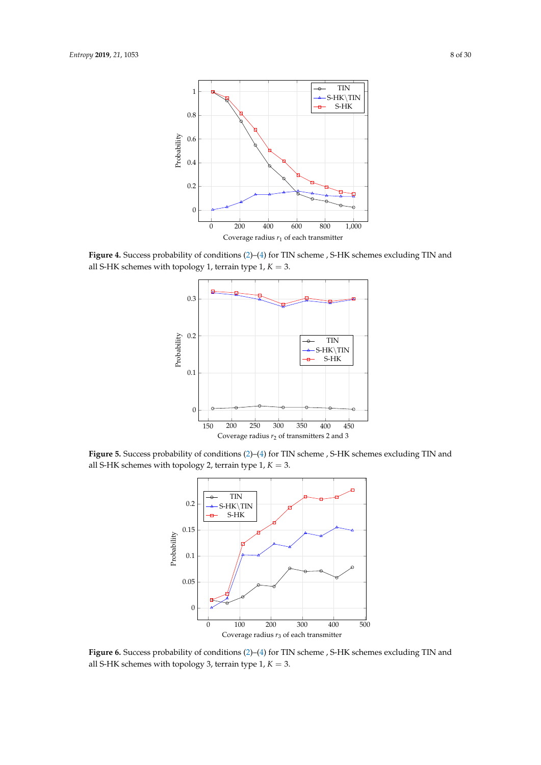<span id="page-7-0"></span>

<span id="page-7-2"></span>**Figure 4.** Success probability of conditions [\(2\)](#page-2-0)–[\(4\)](#page-2-1) for TIN scheme , S-HK schemes excluding TIN and all S-HK schemes with topology 1, terrain type 1,  $K = 3$ .



<span id="page-7-1"></span>Figure 5. Success probability of conditions [\(2\)](#page-2-0)–[\(4\)](#page-2-1) for TIN scheme , S-HK schemes excluding TIN and all S-HK schemes with topology 2, terrain type 1,  $K = 3$ .



Figure 6. Success probability of conditions [\(2\)](#page-2-0)-[\(4\)](#page-2-1) for TIN scheme , S-HK schemes excluding TIN and all S-HK schemes with topology 3, terrain type 1,  $K = 3$ .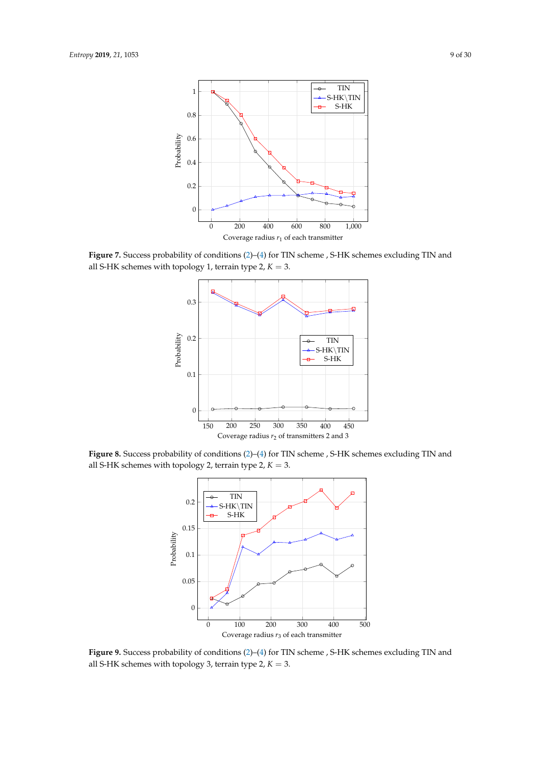<span id="page-8-1"></span>

<span id="page-8-2"></span>Figure 7. Success probability of conditions [\(2\)](#page-2-0)-[\(4\)](#page-2-1) for TIN scheme , S-HK schemes excluding TIN and all S-HK schemes with topology 1, terrain type 2,  $K = 3$ .



<span id="page-8-0"></span>Figure 8. Success probability of conditions [\(2\)](#page-2-0)–[\(4\)](#page-2-1) for TIN scheme , S-HK schemes excluding TIN and all S-HK schemes with topology 2, terrain type 2,  $K = 3$ .



Figure 9. Success probability of conditions [\(2\)](#page-2-0)-[\(4\)](#page-2-1) for TIN scheme , S-HK schemes excluding TIN and all S-HK schemes with topology 3, terrain type 2,  $K = 3$ .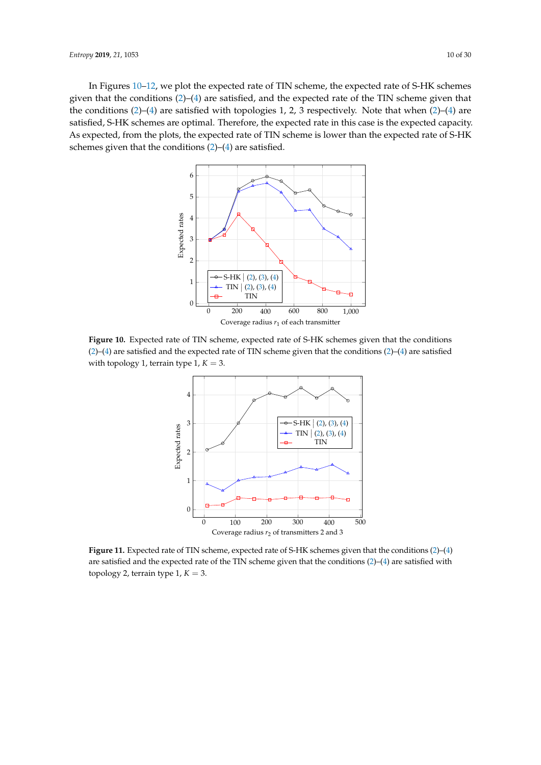<span id="page-9-0"></span>In Figures [10–](#page-9-0)[12,](#page-10-0) we plot the expected rate of TIN scheme, the expected rate of S-HK schemes given that the conditions  $(2)-(4)$  $(2)-(4)$  $(2)-(4)$  are satisfied, and the expected rate of the TIN scheme given that the conditions [\(2\)](#page-2-0)–[\(4\)](#page-2-1) are satisfied with topologies 1, 2, 3 respectively. Note that when [\(2\)](#page-2-0)–[\(4\)](#page-2-1) are satisfied, S-HK schemes are optimal. Therefore, the expected rate in this case is the expected capacity. As expected, from the plots, the expected rate of TIN scheme is lower than the expected rate of S-HK schemes given that the conditions [\(2\)](#page-2-0)–[\(4\)](#page-2-1) are satisfied.



**Figure 10.** Expected rate of TIN scheme, expected rate of S-HK schemes given that the conditions [\(2\)](#page-2-0)–[\(4\)](#page-2-1) are satisfied and the expected rate of TIN scheme given that the conditions [\(2\)](#page-2-0)–[\(4\)](#page-2-1) are satisfied with topology 1, terrain type  $1, K = 3$ .



**Figure 11.** Expected rate of TIN scheme, expected rate of S-HK schemes given that the conditions [\(2\)](#page-2-0)–[\(4\)](#page-2-1) are satisfied and the expected rate of the TIN scheme given that the conditions  $(2)-(4)$  $(2)-(4)$  $(2)-(4)$  are satisfied with topology 2, terrain type  $1, K = 3$ .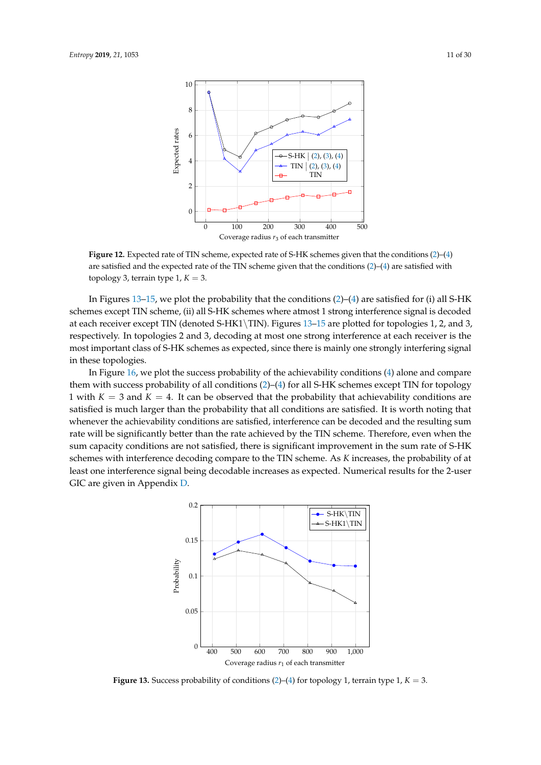<span id="page-10-0"></span>![](_page_10_Figure_1.jpeg)

**Figure 12.** Expected rate of TIN scheme, expected rate of S-HK schemes given that the conditions [\(2\)](#page-2-0)–[\(4\)](#page-2-1) are satisfied and the expected rate of the TIN scheme given that the conditions  $(2)-(4)$  $(2)-(4)$  $(2)-(4)$  are satisfied with topology 3, terrain type 1,  $K = 3$ .

In Figures [13–](#page-10-1)[15,](#page-11-0) we plot the probability that the conditions [\(2\)](#page-2-0)–[\(4\)](#page-2-1) are satisfied for (i) all S-HK schemes except TIN scheme, (ii) all S-HK schemes where atmost 1 strong interference signal is decoded at each receiver except TIN (denoted S-HK1\TIN). Figures [13–](#page-10-1)[15](#page-11-0) are plotted for topologies 1, 2, and 3, respectively. In topologies 2 and 3, decoding at most one strong interference at each receiver is the most important class of S-HK schemes as expected, since there is mainly one strongly interfering signal in these topologies.

In Figure [16,](#page-11-1) we plot the success probability of the achievability conditions [\(4\)](#page-2-1) alone and compare them with success probability of all conditions  $(2)-(4)$  $(2)-(4)$  $(2)-(4)$  for all S-HK schemes except TIN for topology 1 with  $K = 3$  and  $K = 4$ . It can be observed that the probability that achievability conditions are satisfied is much larger than the probability that all conditions are satisfied. It is worth noting that whenever the achievability conditions are satisfied, interference can be decoded and the resulting sum rate will be significantly better than the rate achieved by the TIN scheme. Therefore, even when the sum capacity conditions are not satisfied, there is significant improvement in the sum rate of S-HK schemes with interference decoding compare to the TIN scheme. As *K* increases, the probability of at least one interference signal being decodable increases as expected. Numerical results for the 2-user GIC are given in Appendix [D.](#page-20-0)

<span id="page-10-1"></span>![](_page_10_Figure_5.jpeg)

**Figure 13.** Success probability of conditions  $(2)$ – $(4)$  for topology 1, terrain type 1,  $K = 3$ .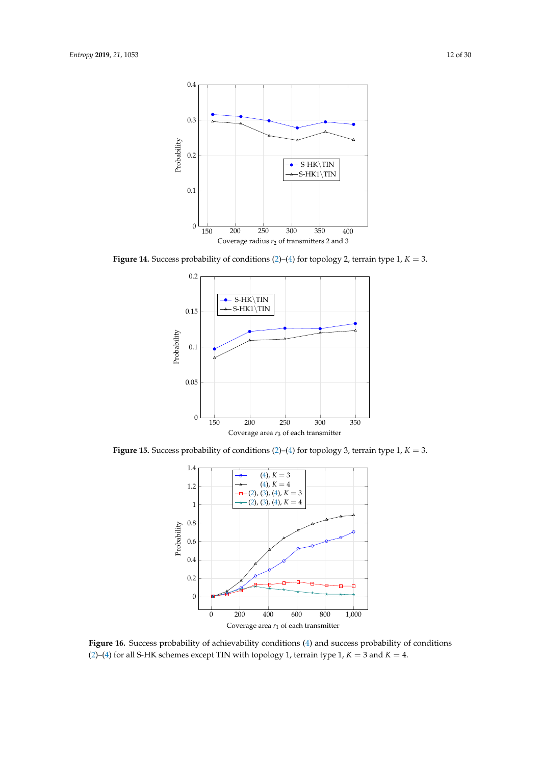![](_page_11_Figure_1.jpeg)

<span id="page-11-0"></span>**Figure 14.** Success probability of conditions [\(2\)](#page-2-0)–[\(4\)](#page-2-1) for topology 2, terrain type 1, *K* = 3.

![](_page_11_Figure_3.jpeg)

<span id="page-11-1"></span>**Figure 15.** Success probability of conditions [\(2\)](#page-2-0)–[\(4\)](#page-2-1) f[or](#page-2-1) topology 3, terrain type 1, *K* = 3.

![](_page_11_Figure_5.jpeg)

**Figure 16.** Success probability of achievability conditions [\(4\)](#page-2-1) and success probability of conditions [\(2\)](#page-2-0)–[\(4\)](#page-2-1) for all S-HK schemes except TIN with topology 1, terrain type 1,  $K = 3$  and  $K = 4$ .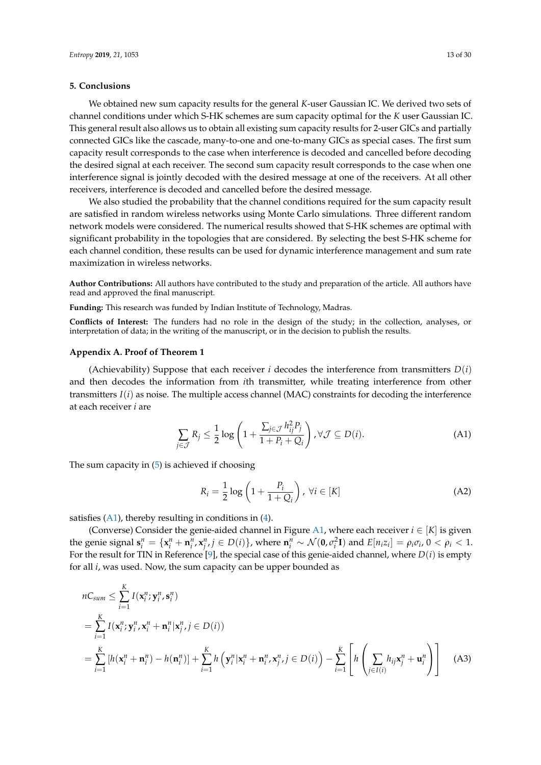## **5. Conclusions**

We obtained new sum capacity results for the general *K*-user Gaussian IC. We derived two sets of channel conditions under which S-HK schemes are sum capacity optimal for the *K* user Gaussian IC. This general result also allows us to obtain all existing sum capacity results for 2-user GICs and partially connected GICs like the cascade, many-to-one and one-to-many GICs as special cases. The first sum capacity result corresponds to the case when interference is decoded and cancelled before decoding the desired signal at each receiver. The second sum capacity result corresponds to the case when one interference signal is jointly decoded with the desired message at one of the receivers. At all other receivers, interference is decoded and cancelled before the desired message.

We also studied the probability that the channel conditions required for the sum capacity result are satisfied in random wireless networks using Monte Carlo simulations. Three different random network models were considered. The numerical results showed that S-HK schemes are optimal with significant probability in the topologies that are considered. By selecting the best S-HK scheme for each channel condition, these results can be used for dynamic interference management and sum rate maximization in wireless networks.

**Author Contributions:** All authors have contributed to the study and preparation of the article. All authors have read and approved the final manuscript.

**Funding:** This research was funded by Indian Institute of Technology, Madras.

**Conflicts of Interest:** The funders had no role in the design of the study; in the collection, analyses, or interpretation of data; in the writing of the manuscript, or in the decision to publish the results.

## <span id="page-12-0"></span>**Appendix A. Proof of Theorem 1**

(Achievability) Suppose that each receiver  $i$  decodes the interference from transmitters  $D(i)$ and then decodes the information from *i*th transmitter, while treating interference from other transmitters *I*(*i*) as noise. The multiple access channel (MAC) constraints for decoding the interference at each receiver *i* are

$$
\sum_{j \in \mathcal{J}} R_j \le \frac{1}{2} \log \left( 1 + \frac{\sum_{j \in \mathcal{J}} h_{ij}^2 P_j}{1 + P_i + Q_i} \right), \forall \mathcal{J} \subseteq D(i).
$$
\n(A1)

The sum capacity in  $(5)$  is achieved if choosing

<span id="page-12-1"></span>
$$
R_i = \frac{1}{2} \log \left( 1 + \frac{P_i}{1 + Q_i} \right), \ \forall i \in [K]
$$
 (A2)

satisfies  $(A1)$ , thereby resulting in conditions in  $(4)$ .

(Converse) Consider the genie-aided channel in Figure [A1,](#page-14-1) where each receiver  $i \in [K]$  is given the genie signal  $\mathbf{s}_i^n = \{x_i^n + \mathbf{n}_i^n, x_{j}^n, j \in D(i)\}$ , where  $\mathbf{n}_i^n \sim \mathcal{N}(\mathbf{0}, \sigma_i^2 \mathbf{I})$  and  $E[n_i z_i] = \rho_i \sigma_i$ ,  $0 < \rho_i < 1$ . For the result for TIN in Reference [\[9\]](#page-28-7), the special case of this genie-aided channel, where *D*(*i*) is empty for all *i*, was used. Now, the sum capacity can be upper bounded as

$$
nC_{sum} \leq \sum_{i=1}^{K} I(\mathbf{x}_i^n; \mathbf{y}_i^n, \mathbf{s}_i^n)
$$
  
= 
$$
\sum_{i=1}^{K} I(\mathbf{x}_i^n; \mathbf{y}_i^n, \mathbf{x}_i^n + \mathbf{n}_i^n | \mathbf{x}_j^n, j \in D(i))
$$
  
= 
$$
\sum_{i=1}^{K} [h(\mathbf{x}_i^n + \mathbf{n}_i^n) - h(\mathbf{n}_i^n)] + \sum_{i=1}^{K} h(\mathbf{y}_i^n | \mathbf{x}_i^n + \mathbf{n}_i^n, \mathbf{x}_j^n, j \in D(i)) - \sum_{i=1}^{K} \left[ h\left(\sum_{j \in I(i)} h_{ij} \mathbf{x}_j^n + \mathbf{u}_i^n\right) \right]
$$
(A3)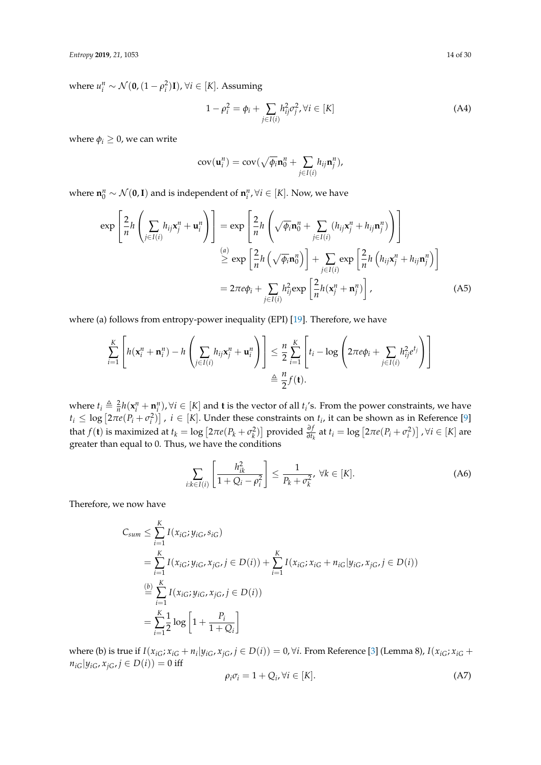where  $u_i^n \sim \mathcal{N}(\mathbf{0}, (1 - \rho_i^2)\mathbf{I})$ ,  $\forall i \in [K]$ . Assuming

<span id="page-13-1"></span>
$$
1 - \rho_i^2 = \phi_i + \sum_{j \in I(i)} h_{ij}^2 \sigma_j^2, \forall i \in [K]
$$
\n(A4)

where  $\phi_i \geq 0$ , we can write

$$
cov(\mathbf{u}_i^n) = cov(\sqrt{\phi_i}\mathbf{n}_0^n + \sum_{j \in I(i)} h_{ij}\mathbf{n}_j^n),
$$

where  $\mathbf{n}_0^n \sim \mathcal{N}(\mathbf{0}, \mathbf{I})$  and is independent of  $\mathbf{n}_i^n, \forall i \in [K]$ . Now, we have

$$
\exp\left[\frac{2}{n}h\left(\sum_{j\in I(i)}h_{ij}\mathbf{x}_{j}^{n}+\mathbf{u}_{i}^{n}\right)\right]=\exp\left[\frac{2}{n}h\left(\sqrt{\phi_{i}}\mathbf{n}_{0}^{n}+\sum_{j\in I(i)}(h_{ij}\mathbf{x}_{j}^{n}+h_{ij}\mathbf{n}_{j}^{n})\right)\right]
$$

$$
\geq \exp\left[\frac{2}{n}h\left(\sqrt{\phi_{i}}\mathbf{n}_{0}^{n}\right)\right]+\sum_{j\in I(i)}\exp\left[\frac{2}{n}h\left(h_{ij}\mathbf{x}_{j}^{n}+h_{ij}\mathbf{n}_{j}^{n}\right)\right]
$$

$$
=2\pi e\phi_{i}+\sum_{j\in I(i)}h_{ij}^{2}\exp\left[\frac{2}{n}h(\mathbf{x}_{j}^{n}+\mathbf{n}_{j}^{n})\right],
$$
(A5)

where (a) follows from entropy-power inequality (EPI) [\[19\]](#page-28-17). Therefore, we have

$$
\sum_{i=1}^K \left[ h(\mathbf{x}_i^n + \mathbf{n}_i^n) - h\left(\sum_{j \in I(i)} h_{ij} \mathbf{x}_j^n + \mathbf{u}_i^n\right) \right] \leq \frac{n}{2} \sum_{i=1}^K \left[ t_i - \log\left(2\pi e\phi_i + \sum_{j \in I(i)} h_{ij}^2 e^{t_j}\right) \right]
$$
  

$$
\triangleq \frac{n}{2} f(\mathbf{t}).
$$

where  $t_i \triangleq \frac{2}{n}h(\mathbf{x}_i^n + \mathbf{n}_i^n)$ ,  $\forall i \in [K]$  and **t** is the vector of all  $t_i$ 's. From the power constraints, we have  $t_i \leq \log \left[2\pi e(P_i + \sigma_i^2)\right]$ ,  $i \in [K]$ . Under these constraints on  $t_i$ , it can be shown as in Reference [\[9\]](#page-28-7) that  $f(\mathbf{t})$  is maximized at  $t_k = \log \left[2\pi e(P_k + \sigma_k^2)\right]$  provided  $\frac{\partial f}{\partial t_k}$  at  $t_i = \log \left[2\pi e(P_i + \sigma_i^2)\right]$ ,  $\forall i \in [K]$  are greater than equal to 0. Thus, we have the conditions

$$
\sum_{i:k\in I(i)}\left[\frac{h_{ik}^2}{1+Q_i-\rho_i^2}\right] \le \frac{1}{P_k+\sigma_k^2}, \ \forall k\in[K].\tag{A6}
$$

Therefore, we now have

$$
C_{sum} \leq \sum_{i=1}^{K} I(x_{iG}; y_{iG}, s_{iG})
$$
  
= 
$$
\sum_{i=1}^{K} I(x_{iG}; y_{iG}, x_{jG}, j \in D(i)) + \sum_{i=1}^{K} I(x_{iG}; x_{iG} + n_{iG} | y_{iG}, x_{jG}, j \in D(i))
$$
  
= 
$$
\sum_{i=1}^{K} \sum_{i=1}^{K} I(x_{iG}; y_{iG}, x_{jG}, j \in D(i))
$$
  
= 
$$
\sum_{i=1}^{K} \frac{1}{2} \log \left[ 1 + \frac{P_i}{1 + Q_i} \right]
$$

where (b) is true if  $I(x_{iG}; x_{iG}+n_i|y_{iG}, x_{jG}, j \in D(i)) = 0$ ,  $\forall i$ . From Reference [\[3\]](#page-28-3) (Lemma 8),  $I(x_{iG}; x_{iG}+n_i|y_{iG}, x_{iG}, j \in D(i))$ *n*<sub>*iG*</sub> $|y_{iG}$ *, x*<sub>*jG*</sub>*,j* ∈ *D*(*i*)) = 0 iff

<span id="page-13-0"></span>
$$
\rho_i \sigma_i = 1 + Q_i, \forall i \in [K]. \tag{A7}
$$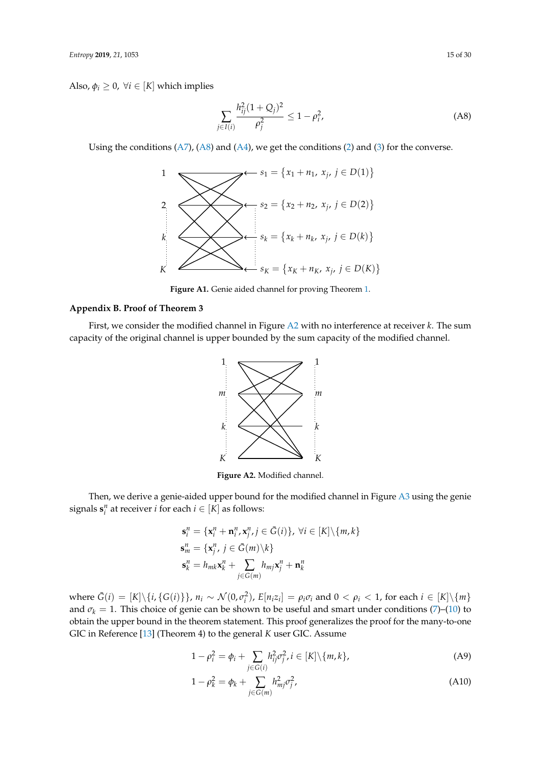Also,  $\phi_i \geq 0$ ,  $\forall i \in [K]$  which implies

<span id="page-14-2"></span>
$$
\sum_{j \in I(i)} \frac{h_{ij}^2 (1 + Q_j)^2}{\rho_j^2} \le 1 - \rho_i^2,\tag{A8}
$$

<span id="page-14-1"></span>Using the conditions  $(A7)$ ,  $(A8)$  and  $(A4)$ , we get the conditions [\(2\)](#page-2-0) and [\(3\)](#page-2-3) for the converse.

![](_page_14_Figure_4.jpeg)

**Figure A1.** Genie aided channel for proving Theorem [1.](#page-2-2)

#### <span id="page-14-0"></span>**Appendix B. Proof of Theorem 3**

<span id="page-14-3"></span>First, we consider the modified channel in Figure [A2](#page-14-3) with no interference at receiver *k*. The sum capacity of the original channel is upper bounded by the sum capacity of the modified channel.

![](_page_14_Figure_8.jpeg)

**Figure A2.** Modified channel.

Then, we derive a genie-aided upper bound for the modified channel in Figure [A3](#page-17-1) using the genie signals  $\mathbf{s}_i^n$  at receiver *i* for each  $i \in [K]$  as follows:

$$
\mathbf{s}_i^n = \{ \mathbf{x}_i^n + \mathbf{n}_i^n, \mathbf{x}_j^n, j \in \bar{G}(i) \}, \ \forall i \in [K] \setminus \{ m, k \}
$$
  
\n
$$
\mathbf{s}_m^n = \{ \mathbf{x}_j^n, j \in \bar{G}(m) \setminus k \}
$$
  
\n
$$
\mathbf{s}_k^n = h_{mk} \mathbf{x}_k^n + \sum_{j \in G(m)} h_{mj} \mathbf{x}_j^n + \mathbf{n}_k^n
$$

where  $\bar{G}(i) = [K] \setminus \{i, \{G(i)\}\}\$ ,  $n_i \sim \mathcal{N}(0, \sigma_i^2)$ ,  $E[n_i z_i] = \rho_i \sigma_i$  and  $0 < \rho_i < 1$ , for each  $i \in [K] \setminus \{m\}$ and  $\sigma_k = 1$ . This choice of genie can be shown to be useful and smart under conditions [\(7\)](#page-3-1)–[\(10\)](#page-3-2) to obtain the upper bound in the theorem statement. This proof generalizes the proof for the many-to-one GIC in Reference [\[13\]](#page-28-9) (Theorem 4) to the general *K* user GIC. Assume

<span id="page-14-4"></span>
$$
1 - \rho_i^2 = \phi_i + \sum_{j \in G(i)} h_{ij}^2 \sigma_j^2, i \in [K] \setminus \{m, k\},\tag{A9}
$$

<span id="page-14-5"></span>
$$
1 - \rho_k^2 = \phi_k + \sum_{j \in G(m)} h_{mj}^2 \sigma_j^2,
$$
 (A10)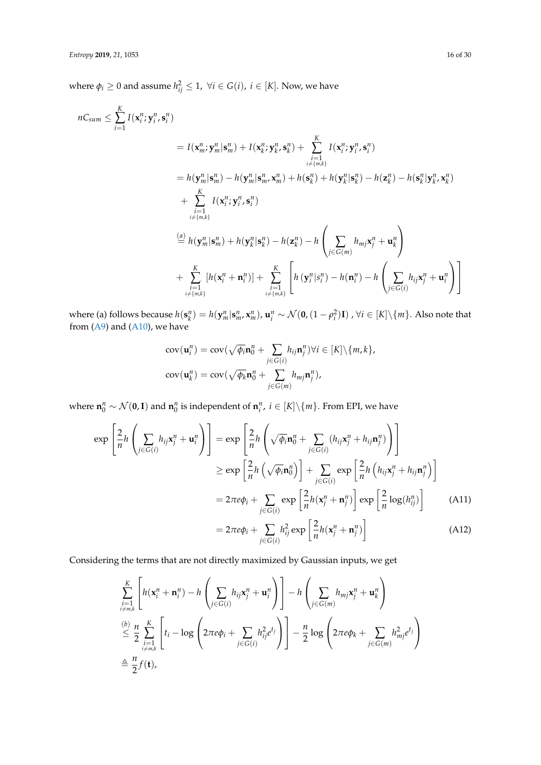where  $\phi_i \geq 0$  and assume  $h_{ij}^2 \leq 1$ ,  $\forall i \in G(i)$ ,  $i \in [K]$ . Now, we have

$$
nC_{sum} \leq \sum_{i=1}^{K} I(\mathbf{x}_i^n; \mathbf{y}_i^n, \mathbf{s}_i^n)
$$
  
\n
$$
= I(\mathbf{x}_m^n; \mathbf{y}_m^n | \mathbf{s}_m^n) + I(\mathbf{x}_k^n; \mathbf{y}_k^n, \mathbf{s}_k^n) + \sum_{\substack{i=1\\i \neq \{m,k\}}}^{K} I(\mathbf{x}_i^n; \mathbf{y}_i^n, \mathbf{s}_i^n)
$$
  
\n
$$
= h(\mathbf{y}_m^n | \mathbf{s}_m^n) - h(\mathbf{y}_m^n | \mathbf{s}_m^n, \mathbf{x}_m^n) + h(\mathbf{s}_k^n) + h(\mathbf{y}_k^n | \mathbf{s}_k^n) - h(\mathbf{z}_k^n) - h(\mathbf{s}_k^n | \mathbf{y}_k^n, \mathbf{x}_k^n)
$$
  
\n
$$
+ \sum_{\substack{i=1\\i \neq \{m,k\}}}^{K} I(\mathbf{x}_i^n; \mathbf{y}_i^n, \mathbf{s}_i^n)
$$
  
\n
$$
\stackrel{(a)}{=} h(\mathbf{y}_m^n | \mathbf{s}_m^n) + h(\mathbf{y}_k^n | \mathbf{s}_k^n) - h(\mathbf{z}_k^n) - h(\mathbf{z}_k^n) - h(\mathbf{y}_k^n | \mathbf{s}_j^n) + \mathbf{u}_k^n
$$
  
\n
$$
+ \sum_{\substack{i=1\\i \neq \{m,k\}}}^{K} [h(\mathbf{x}_i^n + \mathbf{n}_i^n)] + \sum_{\substack{i=1\\i \neq \{m,k\}}}^{K} \left[ h(\mathbf{y}_i^n | \mathbf{s}_i^n) - h(\mathbf{n}_i^n) - h(\mathbf{y}_k^n) \mathbf{x}_j^n + \mathbf{u}_k^n \right]
$$

where (a) follows because  $h(\mathbf{s}_k^n)=h(\mathbf{y}_m^n|\mathbf{s}_m^n,\mathbf{x}_m^n)$ ,  $\mathbf{u}_i^n\sim\mathcal{N}(\mathbf{0},(1-\rho_i^2)\mathbf{I})$  ,  $\forall i\in[K]\setminus\{m\}.$  Also note that from  $(A9)$  and  $(A10)$ , we have

<span id="page-15-0"></span>
$$
cov(\mathbf{u}_i^n) = cov(\sqrt{\phi_i} \mathbf{n}_0^n + \sum_{j \in G(i)} h_{ij} \mathbf{n}_j^n) \forall i \in [K] \setminus \{m, k\},
$$

$$
cov(\mathbf{u}_k^n) = cov(\sqrt{\phi_k} \mathbf{n}_0^n + \sum_{j \in G(m)} h_{mj} \mathbf{n}_j^n),
$$

where  $\mathbf{n}_0^n \sim \mathcal{N}(\mathbf{0}, \mathbf{I})$  and  $\mathbf{n}_0^n$  is independent of  $\mathbf{n}_i^n$ ,  $i \in [K] \setminus \{m\}$ . From EPI, we have

$$
\exp\left[\frac{2}{n}h\left(\sum_{j\in G(i)} h_{ij}\mathbf{x}_{j}^{n} + \mathbf{u}_{i}^{n}\right)\right] = \exp\left[\frac{2}{n}h\left(\sqrt{\phi_{i}}\mathbf{n}_{0}^{n} + \sum_{j\in G(i)} (h_{ij}\mathbf{x}_{j}^{n} + h_{ij}\mathbf{n}_{j}^{n})\right)\right]
$$
\n
$$
\geq \exp\left[\frac{2}{n}h\left(\sqrt{\phi_{i}}\mathbf{n}_{0}^{n}\right)\right] + \sum_{j\in G(i)} \exp\left[\frac{2}{n}h\left(h_{ij}\mathbf{x}_{j}^{n} + h_{ij}\mathbf{n}_{j}^{n}\right)\right]
$$
\n
$$
= 2\pi e\phi_{i} + \sum_{j\in G(i)} \exp\left[\frac{2}{n}h(\mathbf{x}_{j}^{n} + \mathbf{n}_{j}^{n})\right] \exp\left[\frac{2}{n}\log(h_{ij}^{n})\right]
$$
\n
$$
= 2\pi e\phi_{i} + \sum_{j\in G(i)} h_{ij}^{2} \exp\left[\frac{2}{n}h(\mathbf{x}_{j}^{n} + \mathbf{n}_{j}^{n})\right]
$$
\n(A11)

Considering the terms that are not directly maximized by Gaussian inputs, we get

$$
\sum_{\substack{i=1 \ i \neq m,k}}^{K} \left[ h(\mathbf{x}_i^n + \mathbf{n}_i^n) - h\left(\sum_{j \in G(i)} h_{ij} \mathbf{x}_j^n + \mathbf{u}_i^n\right) \right] - h\left(\sum_{j \in G(m)} h_{mj} \mathbf{x}_j^n + \mathbf{u}_k^n\right)
$$
\n
$$
\leq \frac{n}{2} \sum_{\substack{i=1 \ i \neq m,k}}^{K} \left[ t_i - \log \left(2\pi e \phi_i + \sum_{j \in G(i)} h_{ij}^2 e^{t_j} \right) \right] - \frac{n}{2} \log \left(2\pi e \phi_k + \sum_{j \in G(m)} h_{mj}^2 e^{t_j} \right)
$$
\n
$$
\triangleq \frac{n}{2} f(\mathbf{t}),
$$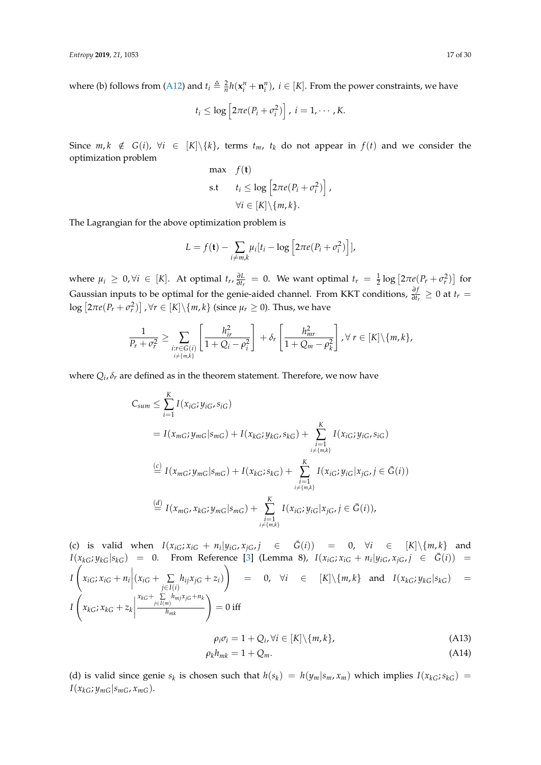where (b) follows from [\(A12\)](#page-15-0) and  $t_i \triangleq \frac{2}{n}h(\mathbf{x}_i^n + \mathbf{n}_i^n)$ ,  $i \in [K]$ . From the power constraints, we have

$$
t_i \leq \log \left[2\pi e(P_i + \sigma_i^2)\right], i = 1, \cdots, K.
$$

Since  $m, k \notin G(i)$ ,  $\forall i \in [K] \setminus \{k\}$ , terms  $t_m$ ,  $t_k$  do not appear in  $f(t)$  and we consider the optimization problem  $max$   $f(f)$ 

<span id="page-16-0"></span>
$$
\begin{aligned}\n\text{max} \quad & f(t) \\
\text{s.t} \quad & t_i \leq \log \left[ 2\pi e(P_i + \sigma_i^2) \right], \\
& \forall i \in [K] \setminus \{m, k\}.\n\end{aligned}
$$

The Lagrangian for the above optimization problem is

$$
L = f(\mathbf{t}) - \sum_{i \neq m,k} \mu_i [t_i - \log \left[ 2\pi e (P_i + \sigma_i^2) \right]],
$$

where  $\mu_i \geq 0$ ,  $\forall i \in [K]$ . At optimal  $t_r$ ,  $\frac{\partial L}{\partial t_r} = 0$ . We want optimal  $t_r = \frac{1}{2} \log \left[ 2 \pi e (P_r + \sigma_r^2) \right]$  for Gaussian inputs to be optimal for the genie-aided channel. From KKT conditions,  $\frac{\partial f}{\partial t_r} \geq 0$  at  $t_r =$  $\log [2\pi e(P_r + \sigma_r^2)]$  ,  $\forall r \in [K] \backslash \{m, k\}$  (since  $\mu_r \ge 0$ ). Thus, we have

$$
\frac{1}{P_r+\sigma_r^2} \geq \sum_{\substack{i:r\in G(i)\\i\neq \{m,k\}}}\left[\frac{h_{ir}^2}{1+Q_i-\rho_i^2}\right]+\delta_r\left[\frac{h_{mr}^2}{1+Q_m-\rho_k^2}\right], \forall r\in [K]\setminus\{m,k\},\
$$

where  $Q_i$ ,  $\delta_r$  are defined as in the theorem statement. Therefore, we now have

$$
C_{sum} \leq \sum_{i=1}^{K} I(x_{iG}; y_{iG}, s_{iG})
$$
  
=  $I(x_{mG}; y_{mG}|s_{mG}) + I(x_{kG}; y_{kG}, s_{kG}) + \sum_{\substack{i=1 \ i \neq \{m,k\}}}^{K} I(x_{iG}; y_{iG}, s_{iG})$   

$$
\stackrel{(c)}{=} I(x_{mG}; y_{mG}|s_{mG}) + I(x_{kG}; s_{kG}) + \sum_{\substack{i=1 \ i \neq \{m,k\}}}^{K} I(x_{iG}; y_{iG}|x_{jG}, j \in \bar{G}(i))
$$
  

$$
\stackrel{(d)}{=} I(x_{mG}, x_{kG}; y_{mG}|s_{mG}) + \sum_{\substack{i=1 \ i \neq \{m,k\}}}^{K} I(x_{iG}; y_{iG}|x_{jG}, j \in \bar{G}(i)),
$$

(c) is valid when  $I(x_{iG}; x_{iG} + n_i | y_{iG}, x_{iG}, j \in \bar{G}(i)) = 0$ ,  $\forall i \in [K] \setminus \{m, k\}$  and  $I(x_{kG};y_{kG}|s_{kG}) = 0$ . From Reference [\[3\]](#page-28-3) (Lemma 8),  $I(x_{iG};x_{iG}+n_i|y_{iG},x_{jG},j \in \bar{G}(i)) =$ *I*  $\sqrt{ }$  $x_{iG}$ ;  $x_{iG} + n_i$  $(x_{iG} + \sum_{j \in I(i)} h_{ij}x_{jG} + z_i)$  $\setminus$  $= 0$ ,  $\forall i \in [K] \setminus \{m, k\}$  and  $I(x_{kG}; y_{kG}|s_{kG}) =$ *I*  $\sqrt{2}$  $\left| x_{kG}; x_{kG} + z_k \right|$  $\frac{x_{kG} + \sum\limits_{j \in I(m)} h_{mj}x_{jG} + n_k}{h_{mk}}$  ) = 0 iff

<span id="page-16-1"></span>
$$
\rho_i \sigma_i = 1 + Q_i, \forall i \in [K] \setminus \{m, k\},\tag{A13}
$$

$$
\rho_k h_{mk} = 1 + Q_m. \tag{A14}
$$

(d) is valid since genie  $s_k$  is chosen such that  $h(s_k) = h(y_m|s_m, x_m)$  which implies  $I(x_{kG}; s_{kG}) =$  $I(x_{kG}; y_{mG}|s_{mG}, x_{mG}).$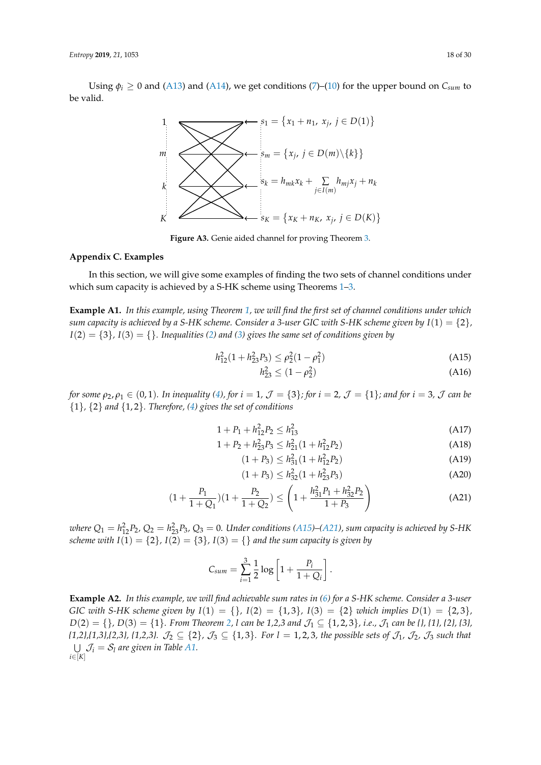<span id="page-17-1"></span>Using  $\phi_i \geq 0$  and [\(A13\)](#page-16-0) and [\(A14\)](#page-16-1), we get conditions [\(7\)](#page-3-1)–[\(10\)](#page-3-2) for the upper bound on  $C_{sum}$  to be valid.

![](_page_17_Figure_2.jpeg)

**Figure A3.** Genie aided channel for proving Theorem [3.](#page-3-4)

#### <span id="page-17-0"></span>**Appendix C. Examples**

In this section, we will give some examples of finding the two sets of channel conditions under which sum capacity is achieved by a S-HK scheme using Theorems [1–](#page-2-2)[3.](#page-3-4)

**Example A1.** *In this example, using Theorem [1,](#page-2-2) we will find the first set of channel conditions under which sum capacity is achieved by a S-HK scheme. Consider a 3-user GIC with S-HK scheme given by*  $I(1) = \{2\}$ ,  $I(2) = \{3\}$  $I(2) = \{3\}$  $I(2) = \{3\}$ ,  $I(3) = \{\}$  $I(3) = \{\}$  $I(3) = \{\}$ . Inequalities (2) and (3) gives the same set of conditions given by

$$
h_{12}^2(1 + h_{23}^2 P_3) \le \rho_2^2(1 - \rho_1^2) \tag{A15}
$$

<span id="page-17-2"></span>
$$
h_{23}^2 \le (1 - \rho_2^2) \tag{A16}
$$

*for some*  $\rho_2$ ,  $\rho_1 \in (0,1)$ *. In inequality* [\(4\)](#page-2-1), *for*  $i = 1$ ,  $\mathcal{J} = \{3\}$ *; for*  $i = 2$ ,  $\mathcal{J} = \{1\}$ *; and for*  $i = 3$ ,  $\mathcal{J}$  *can be* {1}*,* {2} *and* {1, 2}*. Therefore, [\(4\)](#page-2-1) gives the set of conditions*

$$
1 + P_1 + h_{12}^2 P_2 \le h_{13}^2 \tag{A17}
$$

$$
1 + P_2 + h_{23}^2 P_3 \le h_{21}^2 (1 + h_{12}^2 P_2)
$$
\n(A18)

$$
(1 + P_3) \le h_{31}^2 (1 + h_{12}^2 P_2) \tag{A19}
$$

<span id="page-17-3"></span>
$$
(1 + P_3) \le h_{32}^2 (1 + h_{23}^2 P_3)
$$
 (A20)

$$
(1 + \frac{P_1}{1 + Q_1})(1 + \frac{P_2}{1 + Q_2}) \le \left(1 + \frac{h_{31}^2 P_1 + h_{32}^2 P_2}{1 + P_3}\right)
$$
(A21)

 $\omega$ here  $Q_1 = h_{12}^2 P_2$ ,  $Q_2 = h_{23}^2 P_3$ ,  $Q_3 = 0$ . Under conditions [\(A15\)](#page-17-2)–[\(A21\)](#page-17-3), sum capacity is achieved by S-HK *scheme with*  $I(1) = \{2\}$ ,  $I(2) = \{3\}$ ,  $I(3) = \{\}$  and the sum capacity is given by

$$
C_{sum} = \sum_{i=1}^{3} \frac{1}{2} \log \left[ 1 + \frac{P_i}{1 + Q_i} \right].
$$

**Example A2.** *In this example, we will find achievable sum rates in [\(6\)](#page-3-0) for a S-HK scheme. Consider a 3-user GIC with S-HK scheme given by*  $I(1) = \{\}$ ,  $I(2) = \{1, 3\}$ ,  $I(3) = \{2\}$  *which implies*  $D(1) = \{2, 3\}$ ,  $D(2) = \{\}, D(3) = \{1\}.$  *From Theorem [2,](#page-3-3) l can be 1,2,3 and*  $\mathcal{J}_1 \subseteq \{1, 2, 3\}, i.e., \mathcal{J}_1$  *can be {}, {1}, {2}, {3}, {*1,2},{1,3},{2,3}, {1,2,3}.  $\mathcal{J}_2$  ⊆ {2},  $\mathcal{J}_3$  ⊆ {1,3}. For *l* = 1,2,3, the possible sets of  $\mathcal{J}_1$ ,  $\mathcal{J}_2$ ,  $\mathcal{J}_3$  such that  $\bigcup \mathcal{J}_i = \mathcal{S}_l$  are given in Table [A1.](#page-18-0) *i*∈[*K*]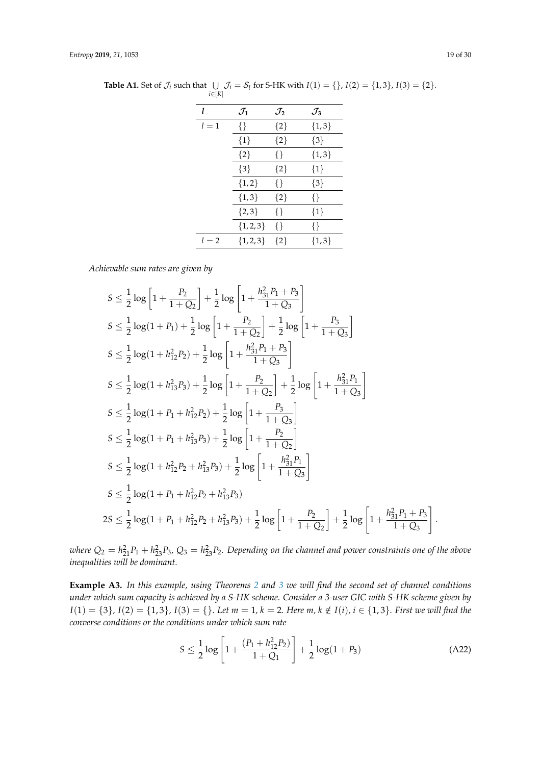<span id="page-18-0"></span>**Table A1.** Set of  $\mathcal{J}_i$  such that  $\bigcup_{i \in [K]} \mathcal{J}_i = \mathcal{S}_l$  for S-HK with *I*(1) = {}, *I*(2) = {1, 3}, *I*(3) = {2}.

| ı     | $\mathcal{J}_1$ | $\mathcal{J}_2$ | $\mathcal{J}_3$ |
|-------|-----------------|-----------------|-----------------|
| $l=1$ | $\{\}$          | ${2}$           | ${1,3}$         |
|       | ${1}$           | ${2}$           | ${3}$           |
|       | ${2}$           | $\{\}$          | ${1,3}$         |
|       | ${3}$           | ${2}$           | ${1}$           |
|       | ${1,2}$         | {}              | ${3}$           |
|       | ${1,3}$         | ${2}$           | {}              |
|       | $\{2,3\}$       | {}              | ${1}$           |
|       | ${1, 2, 3}$     | {}              | $\{\}$          |
| $l=2$ | ${1,2,3}$       | ${2}$           | ${1,3}$         |

*Achievable sum rates are given by*

$$
S \leq \frac{1}{2} \log \left[ 1 + \frac{P_2}{1 + Q_2} \right] + \frac{1}{2} \log \left[ 1 + \frac{h_{31}^2 P_1 + P_3}{1 + Q_3} \right]
$$
  
\n
$$
S \leq \frac{1}{2} \log(1 + P_1) + \frac{1}{2} \log \left[ 1 + \frac{P_2}{1 + Q_2} \right] + \frac{1}{2} \log \left[ 1 + \frac{P_3}{1 + Q_3} \right]
$$
  
\n
$$
S \leq \frac{1}{2} \log(1 + h_{12}^2 P_2) + \frac{1}{2} \log \left[ 1 + \frac{h_{31}^2 P_1 + P_3}{1 + Q_3} \right]
$$
  
\n
$$
S \leq \frac{1}{2} \log(1 + h_{13}^2 P_3) + \frac{1}{2} \log \left[ 1 + \frac{P_2}{1 + Q_2} \right] + \frac{1}{2} \log \left[ 1 + \frac{h_{31}^2 P_1}{1 + Q_3} \right]
$$
  
\n
$$
S \leq \frac{1}{2} \log(1 + P_1 + h_{12}^2 P_2) + \frac{1}{2} \log \left[ 1 + \frac{P_3}{1 + Q_3} \right]
$$
  
\n
$$
S \leq \frac{1}{2} \log(1 + P_1 + h_{13}^2 P_3) + \frac{1}{2} \log \left[ 1 + \frac{P_2}{1 + Q_2} \right]
$$
  
\n
$$
S \leq \frac{1}{2} \log(1 + h_{12}^2 P_2 + h_{13}^2 P_3) + \frac{1}{2} \log \left[ 1 + \frac{h_{31}^2 P_1}{1 + Q_3} \right]
$$
  
\n
$$
S \leq \frac{1}{2} \log(1 + P_1 + h_{12}^2 P_2 + h_{13}^2 P_3) + \frac{1}{2} \log \left[ 1 + \frac{h_{31}^2 P_1}{1 + Q_2} \right] + \frac{1}{2} \log \left[ 1 + \frac{h_{31}^2 P_1 + P_3}{1 + Q_3} \right]
$$
  
\n
$$
2S \leq \frac{1}{2} \log
$$

where  $Q_2 = h_{21}^2 P_1 + h_{23}^2 P_3$ ,  $Q_3 = h_{23}^2 P_2$ . Depending on the channel and power constraints one of the above *inequalities will be dominant.*

**Example A3.** *In this example, using Theorems [2](#page-3-3) and [3](#page-3-4) we will find the second set of channel conditions under which sum capacity is achieved by a S-HK scheme. Consider a 3-user GIC with S-HK scheme given by I*(1) = {3}*, I*(2) = {1, 3}*, I*(3) = {}*. Let*  $m = 1$ *, k* = 2*. Here*  $m$ *, k* ∉ *I*(*i*)*, i* ∈ {1, 3}*. First we will find the converse conditions or the conditions under which sum rate*

<span id="page-18-1"></span>
$$
S \le \frac{1}{2} \log \left[ 1 + \frac{(P_1 + h_{12}^2 P_2)}{1 + Q_1} \right] + \frac{1}{2} \log(1 + P_3)
$$
 (A22)

1 .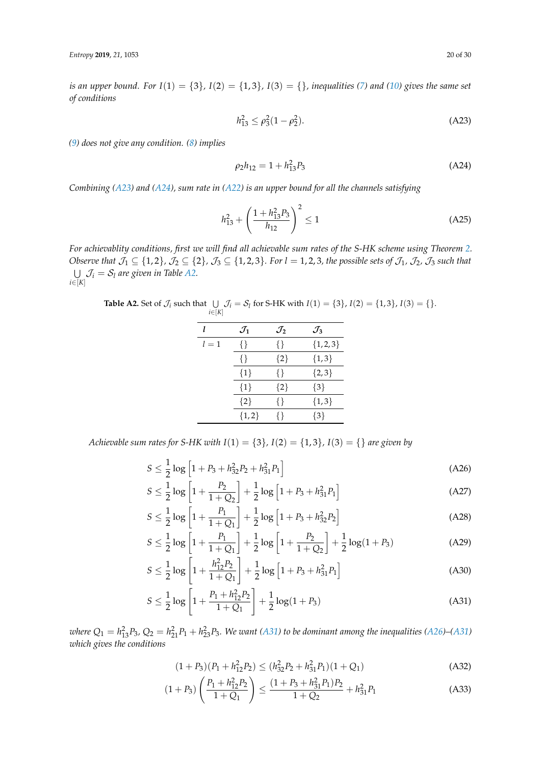*is an upper bound.* For  $I(1) = \{3\}$ ,  $I(2) = \{1, 3\}$ ,  $I(3) = \{\}$ , inequalities [\(7\)](#page-3-1) and [\(10\)](#page-3-2) gives the same set *of conditions*

<span id="page-19-0"></span>
$$
h_{13}^2 \le \rho_3^2 (1 - \rho_2^2). \tag{A23}
$$

*[\(9\)](#page-3-5) does not give any condition. [\(8\)](#page-3-6) implies*

<span id="page-19-1"></span>
$$
\rho_2 h_{12} = 1 + h_{13}^2 P_3 \tag{A24}
$$

*Combining [\(A23\)](#page-19-0) and [\(A24\)](#page-19-1), sum rate in [\(A22\)](#page-18-1) is an upper bound for all the channels satisfying*

<span id="page-19-6"></span>
$$
h_{13}^2 + \left(\frac{1 + h_{13}^2 P_3}{h_{12}}\right)^2 \le 1\tag{A25}
$$

*For achievablity conditions, first we will find all achievable sum rates of the S-HK scheme using Theorem [2.](#page-3-3) Observe that*  $\mathcal{J}_1 \subseteq \{1,2\}$ ,  $\mathcal{J}_2 \subseteq \{2\}$ ,  $\mathcal{J}_3 \subseteq \{1,2,3\}$ . For  $l = 1,2,3$ , the possible sets of  $\mathcal{J}_1$ ,  $\mathcal{J}_2$ ,  $\mathcal{J}_3$  such that U  $\bigcup_{i \in [K]}$  *J*<sub>*i*</sub> = *S*<sub>*l*</sub> are given in Table [A2.](#page-19-2)

<span id="page-19-2"></span>**Table A2.** Set of  $\mathcal{J}_i$  such that  $\bigcup \mathcal{J}_i = \mathcal{S}_l$  for S-HK with  $I(1) = \{3\}$ ,  $I(2) = \{1, 3\}$ ,  $I(3) = \{\}.$ *i*∈[*K*]

<span id="page-19-4"></span>

| l     | $\mathcal{J}_1$ | $\mathcal{J}_2$ | $\mathcal{J}_3$ |
|-------|-----------------|-----------------|-----------------|
| $l=1$ | ∤∤              | $\{\}$          | ${1, 2, 3}$     |
|       | { }             | ${2}$           | ${1,3}$         |
|       | ${1}$           | {}              | ${2,3}$         |
|       | ${1}$           | ${2}$           | ${3}$           |
|       | ${2}$           | {}              | ${1,3}$         |
|       | ${1,2}$         | ιļ              | ${3}$           |

*Achievable sum rates for S-HK with*  $I(1) = \{3\}$ *,*  $I(2) = \{1, 3\}$ *,*  $I(3) = \{\}$  *are given by* 

$$
S \leq \frac{1}{2} \log \left[ 1 + P_3 + h_{32}^2 P_2 + h_{31}^2 P_1 \right]
$$
 (A26)

$$
S \le \frac{1}{2} \log \left[ 1 + \frac{P_2}{1 + Q_2} \right] + \frac{1}{2} \log \left[ 1 + P_3 + h_{31}^2 P_1 \right] \tag{A27}
$$

$$
S \le \frac{1}{2} \log \left[ 1 + \frac{P_1}{1 + Q_1} \right] + \frac{1}{2} \log \left[ 1 + P_3 + h_{32}^2 P_2 \right] \tag{A28}
$$

$$
S \le \frac{1}{2} \log \left[ 1 + \frac{P_1}{1 + Q_1} \right] + \frac{1}{2} \log \left[ 1 + \frac{P_2}{1 + Q_2} \right] + \frac{1}{2} \log(1 + P_3)
$$
 (A29)

$$
S \le \frac{1}{2} \log \left[ 1 + \frac{h_{12}^2 P_2}{1 + Q_1} \right] + \frac{1}{2} \log \left[ 1 + P_3 + h_{31}^2 P_1 \right]
$$
 (A30)

$$
S \le \frac{1}{2} \log \left[ 1 + \frac{P_1 + h_{12}^2 P_2}{1 + Q_1} \right] + \frac{1}{2} \log(1 + P_3)
$$
 (A31)

 $\omega$ here  $Q_1 = h_{13}^2 P_3$ ,  $Q_2 = h_{21}^2 P_1 + h_{23}^2 P_3$ . We want [\(A31\)](#page-19-3) to be dominant among the inequalities [\(A26\)](#page-19-4)–(A31) *which gives the conditions*

<span id="page-19-5"></span><span id="page-19-3"></span>
$$
(1+P_3)(P_1+h_{12}^2P_2) \le (h_{32}^2P_2+h_{31}^2P_1)(1+Q_1)
$$
\n(A32)

$$
(1+P_3)\left(\frac{P_1+h_{12}^2P_2}{1+Q_1}\right) \le \frac{(1+P_3+h_{31}^2P_1)P_2}{1+Q_2} + h_{31}^2P_1\tag{A33}
$$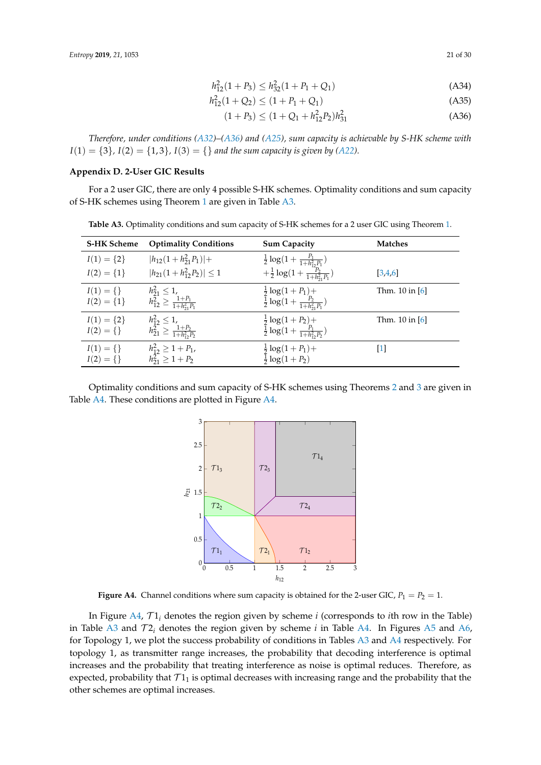$$
h_{12}^2(1+P_3) \le h_{32}^2(1+P_1+Q_1) \tag{A34}
$$

$$
h_{12}^2(1+Q_2) \le (1+P_1+Q_1) \tag{A35}
$$

<span id="page-20-1"></span>
$$
(1+P_3) \le (1+Q_1 + h_{12}^2 P_2)h_{31}^2 \tag{A36}
$$

*Therefore, under conditions [\(A32\)](#page-19-5)–[\(A36\)](#page-20-1) and [\(A25\)](#page-19-6), sum capacity is achievable by S-HK scheme with*  $I(1) = \{3\}$ ,  $I(2) = \{1, 3\}$ ,  $I(3) = \{\}$  *and the sum capacity is given by [\(A22\)](#page-18-1).* 

#### <span id="page-20-0"></span>**Appendix D. 2-User GIC Results**

For a 2 user GIC, there are only 4 possible S-HK schemes. Optimality conditions and sum capacity of S-HK schemes using Theorem [1](#page-2-2) are given in Table [A3.](#page-20-2)

| <b>S-HK Scheme</b>               | <b>Optimality Conditions</b>                                       | <b>Sum Capacity</b>                                                      | Matches                                                                                                                                                                                                  |
|----------------------------------|--------------------------------------------------------------------|--------------------------------------------------------------------------|----------------------------------------------------------------------------------------------------------------------------------------------------------------------------------------------------------|
| $I(1) = \{2\}$                   | $ h_{12}(1+h_{21}^2P_1) +$                                         | $\frac{1}{2} \log(1 + \frac{P_1}{1 + h_{12}^2 P_1})$                     |                                                                                                                                                                                                          |
| $I(2) = \{1\}$                   | $ h_{21}(1+h_1^2,P_2)  \leq 1$                                     | $+\frac{1}{2}\log(1+\frac{p_2}{1+h_{2}^2\cdot P_1})$                     | [3,4,6]                                                                                                                                                                                                  |
| $I(1) = \{\}$<br>$I(2) = \{1\}$  | $h_{21}^2 \leq 1$ ,<br>$h_{12}^2 \geq \frac{1+P_1}{1+h_{21}^2P_1}$ | $\frac{1}{2}\log(1+P_1)+\\ \frac{1}{2}\log(1+\frac{P_2}{1+h_{21}^2P_1})$ | Thm. 10 in [6]                                                                                                                                                                                           |
| $I(1) = \{2\}$<br>$I(2) = \{\}$  | $h_{12}^2 \leq 1$ ,<br>$h_{21}^2 \geq \frac{1+P_2}{1+h_{12}^2P_2}$ | $\frac{1}{2}\log(1+P_2)+\\ \frac{1}{2}\log(1+\frac{P_1}{1+h_{12}^2P_2})$ | Thm. 10 in [6]                                                                                                                                                                                           |
| $I(1) = \{\}\$<br>$I(2) = \{\}\$ | $h_{12}^2 \geq 1 + P_{11}$<br>$h_{21}^2 \geq 1 + P_2$              | $\frac{1}{2}\log(1+P_1)+$<br>$\frac{1}{2}\log(1+P_2)$                    | $[1] % \includegraphics[width=0.9\columnwidth]{figures/fig_10.pdf} \caption{The figure shows the number of times on the left and right. The left is the number of times on the right.} \label{fig:time}$ |

<span id="page-20-2"></span>**Table A3.** Optimality conditions and sum capacity of S-HK schemes for a 2 user GIC using Theorem [1.](#page-2-2)

<span id="page-20-3"></span>Optimality conditions and sum capacity of S-HK schemes using Theorems [2](#page-3-3) and [3](#page-3-4) are given in Table [A4.](#page-21-1) These conditions are plotted in Figure [A4.](#page-20-3)

![](_page_20_Figure_10.jpeg)

**Figure A4.** Channel conditions where sum capacity is obtained for the 2-user GIC,  $P_1 = P_2 = 1$ .

In Figure  $A4$ ,  $T1<sub>i</sub>$  denotes the region given by scheme *i* (corresponds to *i*th row in the Table) in Table [A3](#page-20-2) and  $T2_i$  denotes the region given by scheme *i* in Table [A4.](#page-21-1) In Figures [A5](#page-21-2) and [A6,](#page-21-3) for Topology 1, we plot the success probability of conditions in Tables [A3](#page-20-2) and [A4](#page-21-1) respectively. For topology 1, as transmitter range increases, the probability that decoding interference is optimal increases and the probability that treating interference as noise is optimal reduces. Therefore, as expected, probability that  $\mathcal{T}1_1$  is optimal decreases with increasing range and the probability that the other schemes are optimal increases.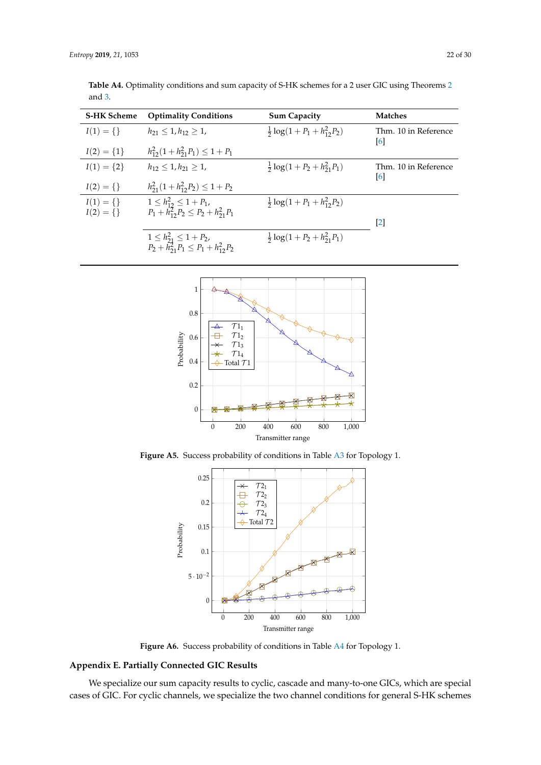| <b>S-HK Scheme</b>              | <b>Optimality Conditions</b>                                                      | <b>Sum Capacity</b>                        | <b>Matches</b>                            |
|---------------------------------|-----------------------------------------------------------------------------------|--------------------------------------------|-------------------------------------------|
| $I(1) = \{\}$                   | $h_{21}$ < 1, $h_{12}$ > 1,                                                       | $\frac{1}{2} \log(1 + P_1 + h_{12}^2 P_2)$ | Thm. 10 in Reference<br>6                 |
| $I(2) = \{1\}$                  | $h_{12}^2(1+h_{21}^2P_1) \leq 1+P_1$                                              |                                            |                                           |
| $I(1) = \{2\}$                  | $h_{12}$ < 1, $h_{21}$ > 1,                                                       | $\frac{1}{2} \log(1 + P_2 + h_{21}^2 P_1)$ | Thm. 10 in Reference<br>$\lceil 6 \rceil$ |
| $I(2) = \{\}\$                  | $h_{21}^2(1+h_{12}^2P_2)\leq 1+P_2$                                               |                                            |                                           |
| $I(1) = \{\}\$<br>$I(2) = \{\}$ | $1 \leq h_{12}^2 \leq 1 + P_{11}$<br>$P_1 + h_{12}^2 P_2 \leq P_2 + h_{21}^2 P_1$ | $\frac{1}{2} \log(1 + P_1 + h_{12}^2 P_2)$ | $\left[ 2\right]$                         |
|                                 | $1 \leq h_{21}^2 \leq 1 + P_2,$<br>$P_2 + h_{21}^2 P_1 \leq P_1 + h_{12}^2 P_2$   | $\frac{1}{2} \log(1 + P_2 + h_{21}^2 P_1)$ |                                           |

<span id="page-21-1"></span>**Table A4.** Optimality conditions and sum capacity of S-HK schemes for a 2 user GIC using Theorems [2](#page-3-3) and [3.](#page-3-4)

<span id="page-21-2"></span>![](_page_21_Figure_3.jpeg)

<span id="page-21-3"></span>Figure A5. Success probability of conditions in Table [A3](#page-20-2) for Topology 1.

![](_page_21_Figure_5.jpeg)

Figure A6. Success probability of conditions in Table [A4](#page-21-1) for Topology 1.

# <span id="page-21-0"></span>**Appendix E. Partially Connected GIC Results**

We specialize our sum capacity results to cyclic, cascade and many-to-one GICs, which are special cases of GIC. For cyclic channels, we specialize the two channel conditions for general S-HK schemes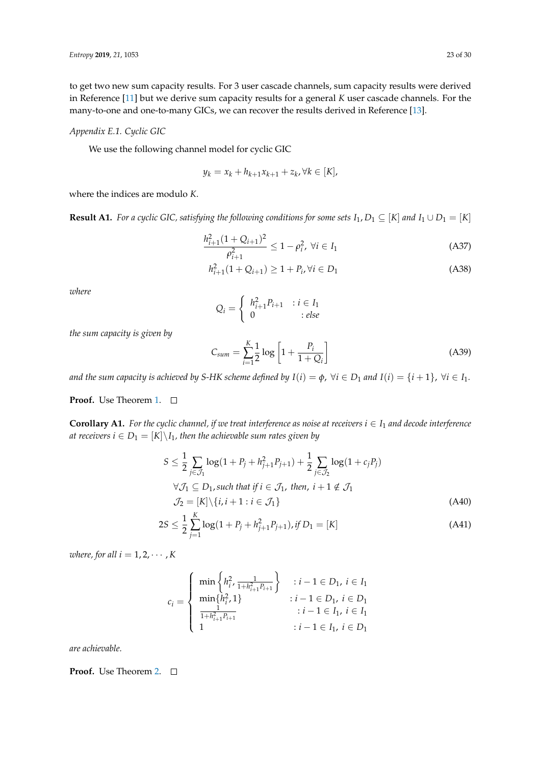to get two new sum capacity results. For 3 user cascade channels, sum capacity results were derived in Reference [\[11\]](#page-28-10) but we derive sum capacity results for a general *K* user cascade channels. For the many-to-one and one-to-many GICs, we can recover the results derived in Reference [\[13\]](#page-28-9).

#### *Appendix E.1. Cyclic GIC*

We use the following channel model for cyclic GIC

$$
y_k = x_k + h_{k+1}x_{k+1} + z_k, \forall k \in [K],
$$

where the indices are modulo *K*.

**Result A1.** For a cyclic GIC, satisfying the following conditions for some sets  $I_1, D_1 \subseteq [K]$  and  $I_1 \cup D_1 = [K]$ 

$$
\frac{h_{i+1}^2 (1 + Q_{i+1})^2}{\rho_{i+1}^2} \le 1 - \rho_i^2, \ \forall i \in I_1
$$
\n(A37)

$$
h_{i+1}^2(1+Q_{i+1}) \ge 1 + P_i, \forall i \in D_1
$$
\n(A38)

*where*

$$
Q_i = \left\{ \begin{array}{ll} h_{i+1}^2 P_{i+1} & : i \in I_1 \\ 0 & : else \end{array} \right.
$$

*the sum capacity is given by*

$$
C_{sum} = \sum_{i=1}^{K} \frac{1}{2} \log \left[ 1 + \frac{P_i}{1 + Q_i} \right]
$$
 (A39)

*and the sum capacity is achieved by S-HK scheme defined by*  $I(i) = \phi$ *,*  $\forall i \in D_1$  *and*  $I(i) = \{i + 1\}$ *,*  $\forall i \in I_1$ *.* 

**Proof.** Use Theorem [1.](#page-2-2) □

<span id="page-22-0"></span>**Corollary A1.** For the cyclic channel, if we treat interference as noise at receivers  $i \in I_1$  and decode interference *at receivers i*  $\in$  *D*<sub>1</sub> = [K] $\setminus$ *I*<sub>1</sub>*, then the achievable sum rates given by* 

$$
S \leq \frac{1}{2} \sum_{j \in \mathcal{J}_1} \log(1 + P_j + h_{j+1}^2 P_{j+1}) + \frac{1}{2} \sum_{j \in \mathcal{J}_2} \log(1 + c_j P_j)
$$
  
\n
$$
\forall \mathcal{J}_1 \subseteq D_1, \text{such that if } i \in \mathcal{J}_1, \text{ then, } i + 1 \notin \mathcal{J}_1
$$
  
\n
$$
\mathcal{J}_2 = [K] \setminus \{i, i + 1 : i \in \mathcal{J}_1\}
$$
  
\n
$$
2S \leq \frac{1}{2} \sum_{j=1}^K \log(1 + P_j + h_{j+1}^2 P_{j+1}), \text{ if } D_1 = [K]
$$
\n(A41)

*where, for all i* =  $1, 2, \cdots, K$ 

$$
c_i = \left\{ \begin{array}{ll} \min\left\{h_i^2, \frac{1}{1+h_{i+1}^2P_{i+1}}\right\} & : i-1 \in D_1, i \in I_1 \\ \min\{h_i^2, 1\} & : i-1 \in D_1, i \in D_1 \\ \frac{1}{1+h_{i+1}^2P_{i+1}} & : i-1 \in I_1, i \in I_1 \\ 1 & : i-1 \in I_1, i \in D_1 \end{array} \right.
$$

*are achievable.*

**Proof.** Use Theorem [2.](#page-3-3) □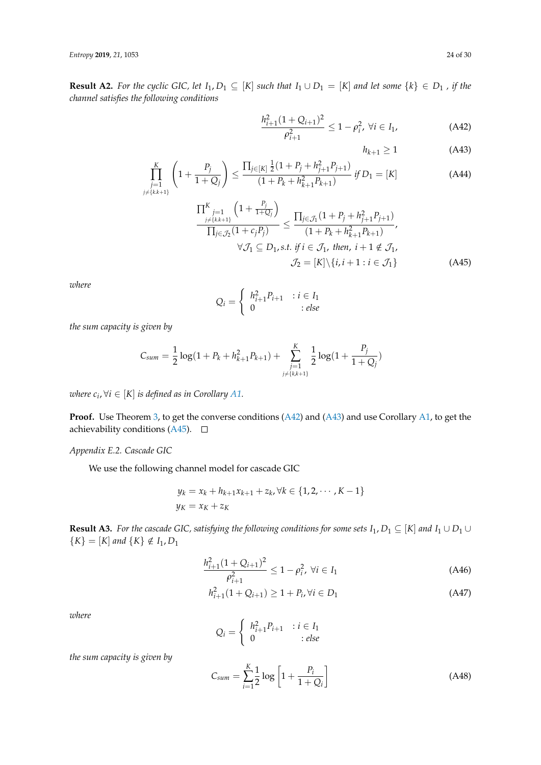**Result A2.** For the cyclic GIC, let  $I_1, D_1 \subseteq [K]$  such that  $I_1 \cup D_1 = [K]$  and let some  $\{k\} \in D_1$ , if the *channel satisfies the following conditions*

$$
\frac{h_{i+1}^2 (1 + Q_{i+1})^2}{\rho_{i+1}^2} \le 1 - \rho_i^2, \ \forall i \in I_1,
$$
 (A42)

<span id="page-23-2"></span><span id="page-23-1"></span><span id="page-23-0"></span>
$$
h_{k+1} \ge 1 \tag{A43}
$$

$$
\prod_{\substack{j=1\\j\neq\{k,k+1\}}}^{K} \left(1 + \frac{P_j}{1+Q_j}\right) \le \frac{\prod_{j\in[K]} \frac{1}{2} (1+P_j + h_{j+1}^2 P_{j+1})}{(1+P_k + h_{k+1}^2 P_{k+1})} \text{ if } D_1 = [K] \tag{A44}
$$

$$
\frac{\prod_{j=1}^{K} (1 + \frac{P_j}{1 + Q_j})}{\prod_{j \in \mathcal{J}_2} (1 + c_j P_j)} \leq \frac{\prod_{j \in \mathcal{J}_1} (1 + P_j + h_{j+1}^2 P_{j+1})}{(1 + P_k + h_{k+1}^2 P_{k+1})},
$$
\n
$$
\forall \mathcal{J}_1 \subseteq D_1, s.t. \text{ if } i \in \mathcal{J}_1, \text{ then, } i + 1 \notin \mathcal{J}_1,
$$
\n
$$
\mathcal{J}_2 = [K] \setminus \{i, i + 1 : i \in \mathcal{J}_1\}
$$
\n(A45)

*where*

$$
Q_i = \begin{cases} h_{i+1}^2 P_{i+1} & : i \in I_1 \\ 0 & : else \end{cases}
$$

*the sum capacity is given by*

$$
C_{sum} = \frac{1}{2}\log(1 + P_k + h_{k+1}^2 P_{k+1}) + \sum_{\substack{j=1 \ j \neq \{k,k+1\}}}^{K} \frac{1}{2}\log(1 + \frac{P_j}{1 + Q_j})
$$

 $\forall i \in [K]$  *is defined as in Corollary [A1.](#page-22-0)* 

**Proof.** Use Theorem [3,](#page-3-4) to get the converse conditions [\(A42\)](#page-23-0) and [\(A43\)](#page-23-1) and use Corollary [A1,](#page-22-0) to get the achievability conditions [\(A45\)](#page-23-2).  $\Box$ 

*Appendix E.2. Cascade GIC*

We use the following channel model for cascade GIC

$$
y_k = x_k + h_{k+1}x_{k+1} + z_k, \forall k \in \{1, 2, \cdots, K-1\}
$$
  

$$
y_K = x_K + z_K
$$

**Result A3.** For the cascade GIC, satisfying the following conditions for some sets  $I_1, D_1 \subseteq [K]$  and  $I_1 \cup D_1 \cup$  ${K}$  = [*K*] and  ${K}$   $\notin$   $I_1, D_1$ 

$$
\frac{h_{i+1}^2 (1 + Q_{i+1})^2}{\rho_{i+1}^2} \le 1 - \rho_i^2, \ \forall i \in I_1
$$
 (A46)

$$
h_{i+1}^2(1+Q_{i+1}) \ge 1 + P_i, \forall i \in D_1
$$
\n(A47)

*where*

$$
Q_i = \left\{ \begin{array}{ll} h_{i+1}^2 P_{i+1} & : i \in I_1 \\ 0 & : else \end{array} \right.
$$

*the sum capacity is given by*

$$
C_{sum} = \sum_{i=1}^{K} \frac{1}{2} \log \left[ 1 + \frac{P_i}{1 + Q_i} \right]
$$
 (A48)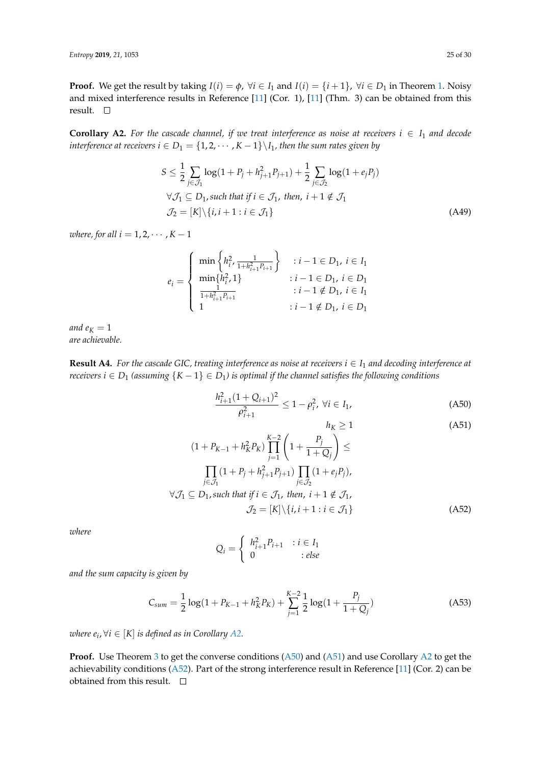**Proof.** We get the result by taking  $I(i) = \phi$ ,  $\forall i \in I_1$  and  $I(i) = \{i+1\}$ ,  $\forall i \in D_1$  in Theorem [1.](#page-2-2) Noisy and mixed interference results in Reference [\[11\]](#page-28-10) (Cor. 1), [\[11\]](#page-28-10) (Thm. 3) can be obtained from this result.  $\square$ 

<span id="page-24-0"></span>**Corollary A2.** For the cascade channel, if we treat interference as noise at receivers  $i \in I_1$  and decode *interference at receivers i*  $\in D_1 = \{1, 2, \cdots, K-1\} \setminus I_1$ *, then the sum rates given by* 

$$
S \leq \frac{1}{2} \sum_{j \in \mathcal{J}_1} \log(1 + P_j + h_{j+1}^2 P_{j+1}) + \frac{1}{2} \sum_{j \in \mathcal{J}_2} \log(1 + e_j P_j)
$$
  
\n
$$
\forall \mathcal{J}_1 \subseteq D_1, \text{such that if } i \in \mathcal{J}_1, \text{ then, } i + 1 \notin \mathcal{J}_1
$$
  
\n
$$
\mathcal{J}_2 = [K] \setminus \{i, i + 1 : i \in \mathcal{J}_1\}
$$
\n(A49)

*where, for all i* =  $1, 2, \cdots, K-1$ 

$$
e_i = \left\{ \begin{array}{ll} \min \left\{ h_i^2, \frac{1}{1+h_{i+1}^2 P_{i+1}} \right\} & : i-1 \in D_1, \ i \in I_1 \\ \min \{ h_i^2, 1 \} & : i-1 \in D_1, \ i \in D_1 \\ \frac{1}{1+h_{i+1}^2 P_{i+1}} & : i-1 \notin D_1, \ i \in I_1 \\ 1 & : i-1 \notin D_1, \ i \in D_1 \end{array} \right.
$$

*and*  $e_K = 1$ *are achievable.*

**Result A4.** For the cascade GIC, treating interference as noise at receivers  $i \in I_1$  and decoding interference at *receivers*  $i \in D_1$  (assuming  $\{K - 1\} \in D_1$ ) is optimal if the channel satisfies the following conditions

<span id="page-24-1"></span>
$$
\frac{h_{i+1}^2 (1 + Q_{i+1})^2}{\rho_{i+1}^2} \le 1 - \rho_i^2, \ \forall i \in I_1,
$$
\n(A50)

$$
h_K \ge 1\tag{A51}
$$

$$
(1 + P_{K-1} + h_K^2 P_K) \prod_{j=1}^{K-2} \left( 1 + \frac{P_j}{1 + Q_j} \right) \le
$$
  

$$
\prod_{j \in \mathcal{J}_1} (1 + P_j + h_{j+1}^2 P_{j+1}) \prod_{j \in \mathcal{J}_2} (1 + e_j P_j),
$$
  

$$
\forall \mathcal{J}_1 \subseteq D_1, \text{ such that if } i \in \mathcal{J}_1, \text{ then, } i + 1 \notin \mathcal{J}_1,
$$
  

$$
\mathcal{J}_2 = [K] \setminus \{i, i + 1 : i \in \mathcal{J}_1\}
$$
(A52)

*where*

$$
Q_i = \begin{cases} h_{i+1}^2 P_{i+1} & : i \in I_1 \\ 0 & : else \end{cases}
$$

*and the sum capacity is given by*

$$
C_{sum} = \frac{1}{2}\log(1 + P_{K-1} + h_K^2 P_K) + \sum_{j=1}^{K-2} \frac{1}{2}\log(1 + \frac{P_j}{1 + Q_j})
$$
(A53)

 $where e_i, \forall i \in [K]$  *is defined as in Corollary [A2.](#page-24-0)* 

**Proof.** Use Theorem [3](#page-3-4) to get the converse conditions [\(A50\)](#page-24-1) and [\(A51\)](#page-24-1) and use Corollary [A2](#page-24-0) to get the achievability conditions [\(A52\)](#page-24-1). Part of the strong interference result in Reference [\[11\]](#page-28-10) (Cor. 2) can be obtained from this result.  $\square$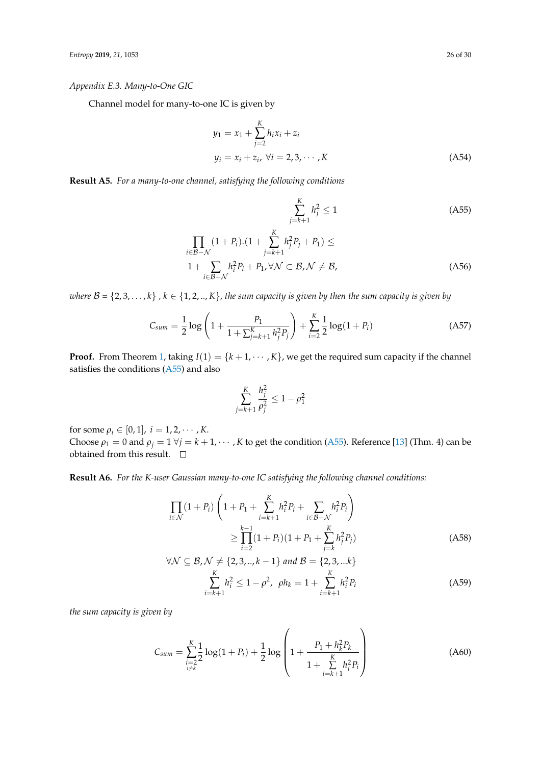#### *Appendix E.3. Many-to-One GIC*

Channel model for many-to-one IC is given by

$$
y_1 = x_1 + \sum_{j=2}^{K} h_i x_i + z_i
$$
  

$$
y_i = x_i + z_i, \forall i = 2, 3, \cdots, K
$$
 (A54)

**Result A5.** *For a many-to-one channel, satisfying the following conditions*

<span id="page-25-0"></span>
$$
\sum_{j=k+1}^{K} h_j^2 \le 1
$$
\n(A55)\n
$$
\prod_{i \in \mathcal{B} - \mathcal{N}} (1 + P_i). (1 + \sum_{j=k+1}^{K} h_j^2 P_j + P_1) \le
$$
\n
$$
1 + \sum_{i \in \mathcal{B} - \mathcal{N}} h_i^2 P_i + P_1, \forall \mathcal{N} \subset \mathcal{B}, \mathcal{N} \ne \mathcal{B},
$$
\n(A56)

*where*  $\mathcal{B} = \{2, 3, ..., k\}$ ,  $k \in \{1, 2, ..., K\}$ , the sum capacity is given by then the sum capacity is given by

$$
C_{sum} = \frac{1}{2} \log \left( 1 + \frac{P_1}{1 + \sum_{j=k+1}^{K} h_j^2 P_j} \right) + \sum_{i=2}^{K} \frac{1}{2} \log(1 + P_i)
$$
 (A57)

**Proof.** From Theorem [1,](#page-2-2) taking  $I(1) = \{k+1, \dots, K\}$ , we get the required sum capacity if the channel satisfies the conditions [\(A55\)](#page-25-0) and also

$$
\sum_{j=k+1}^{K} \frac{h_j^2}{\rho_j^2} \le 1 - \rho_1^2
$$

for some  $\rho_i \in [0, 1]$ ,  $i = 1, 2, \dots, K$ .

Choose  $\rho_1 = 0$  and  $\rho_i = 1 \forall j = k+1, \dots, K$  to get the condition [\(A55\)](#page-25-0). Reference [\[13\]](#page-28-9) (Thm. 4) can be obtained from this result.  $\square$ 

**Result A6.** *For the K-user Gaussian many-to-one IC satisfying the following channel conditions:*

<span id="page-25-1"></span>
$$
\prod_{i \in \mathcal{N}} (1 + P_i) \left( 1 + P_1 + \sum_{i=k+1}^{K} h_i^2 P_i + \sum_{i \in \mathcal{B} - \mathcal{N}} h_i^2 P_i \right)
$$
\n
$$
\geq \prod_{i=2}^{K-1} (1 + P_i) (1 + P_1 + \sum_{j=k}^{K} h_j^2 P_j)
$$
\n
$$
\forall \mathcal{N} \subseteq \mathcal{B}, \mathcal{N} \neq \{2, 3, \dots, k - 1\} \text{ and } \mathcal{B} = \{2, 3, \dots k\}
$$
\n
$$
\sum_{i=k+1}^{K} h_i^2 \leq 1 - \rho^2, \ \rho h_k = 1 + \sum_{i=k+1}^{K} h_i^2 P_i \tag{A59}
$$

*the sum capacity is given by*

$$
C_{sum} = \sum_{\substack{i=2 \ i \neq k}}^{K} \frac{1}{2} \log(1 + P_i) + \frac{1}{2} \log \left( 1 + \frac{P_1 + h_k^2 P_k}{1 + \sum_{i=k+1}^{K} h_i^2 P_i} \right)
$$
(A60)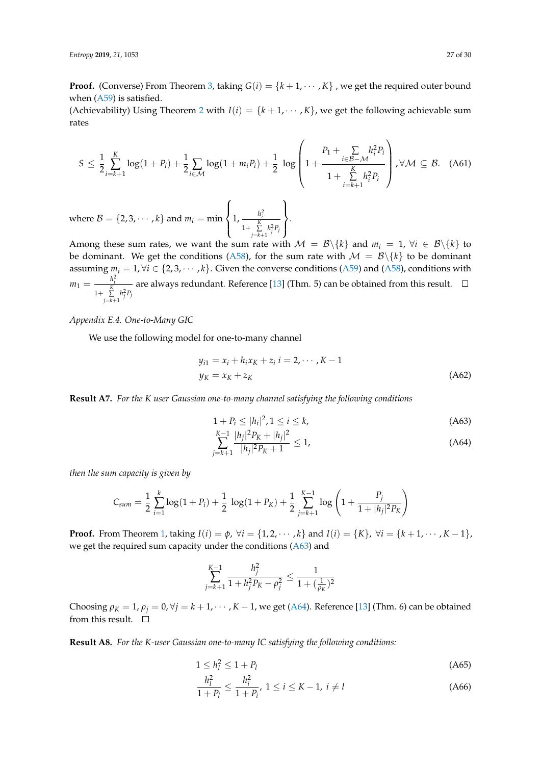*Entropy* **2019**, *21*, 1053 27 of 30

**Proof.** (Converse) From Theorem [3,](#page-3-4) taking  $G(i) = \{k+1, \dots, K\}$ , we get the required outer bound when  $(A59)$  is satisfied.

(Achievability) Using Theorem [2](#page-3-3) with  $I(i) = \{k+1, \dots, K\}$ , we get the following achievable sum rates

$$
S \leq \frac{1}{2} \sum_{i=k+1}^{K} \log(1+P_i) + \frac{1}{2} \sum_{i \in \mathcal{M}} \log(1+m_i P_i) + \frac{1}{2} \log \left(1 + \frac{P_1 + \sum_{i \in \mathcal{B}-\mathcal{M}} h_i^2 P_i}{1 + \sum_{i=k+1}^{K} h_i^2 P_i} \right), \forall \mathcal{M} \subseteq \mathcal{B}.
$$
 (A61)

.

where  $\mathcal{B} = \{2, 3, \cdots, k\}$  and  $m_i = \min$  $\sqrt{ }$  $\int$  $\overline{\mathcal{L}}$  $1, \frac{h_i^2}{K}$  $1 + \sum_{j=k+1}^{K} h_j^2 P_j$  $\mathcal{L}$  $\mathcal{L}$  $\int$ 

Among these sum rates, we want the sum rate with  $M = B\{\{k\}$  and  $m_i = 1$ ,  $\forall i \in B\{\{k\}}$  to be dominant. We get the conditions [\(A58\)](#page-25-1), for the sum rate with  $\mathcal{M} = \mathcal{B}\backslash\{k\}$  to be dominant assuming  $m_i = 1$ ,  $\forall i \in \{2, 3, \dots, k\}$ . Given the converse conditions [\(A59\)](#page-25-1) and [\(A58\)](#page-25-1), conditions with  $m_1 = \frac{h_i^2}{K}$  $1 + \sum_{j=k+1}^{K} h_j^2 P_j$ are always redundant. Reference [\[13\]](#page-28-9) (Thm. 5) can be obtained from this result.

*Appendix E.4. One-to-Many GIC*

We use the following model for one-to-many channel

$$
y_{i1} = x_i + h_i x_K + z_i \ i = 2, \cdots, K - 1
$$
  

$$
y_K = x_K + z_K
$$
 (A62)

**Result A7.** *For the K user Gaussian one-to-many channel satisfying the following conditions*

<span id="page-26-0"></span>
$$
1 + P_i \le |h_i|^2, 1 \le i \le k,
$$
\n(A63)

$$
\sum_{j=k+1}^{K-1} \frac{|h_j|^2 P_K + |h_j|^2}{|h_j|^2 P_K + 1} \le 1,
$$
\n(A64)

*then the sum capacity is given by*

<span id="page-26-1"></span>
$$
C_{sum} = \frac{1}{2} \sum_{i=1}^{k} \log(1 + P_i) + \frac{1}{2} \log(1 + P_K) + \frac{1}{2} \sum_{j=k+1}^{K-1} \log\left(1 + \frac{P_j}{1 + |h_j|^2 P_K}\right)
$$

**Proof.** From Theorem [1,](#page-2-2) taking  $I(i) = \phi$ ,  $\forall i = \{1, 2, \dots, k\}$  and  $I(i) = \{K\}$ ,  $\forall i = \{k + 1, \dots, K - 1\}$ , we get the required sum capacity under the conditions [\(A63\)](#page-26-0) and

$$
\sum_{j=k+1}^{K-1} \frac{h_j^2}{1 + h_j^2 P_K - \rho_j^2} \le \frac{1}{1 + (\frac{1}{\rho_K})^2}
$$

Choosing *ρ*<sub>*K*</sub> = 1, *ρ*<sub>*j*</sub> = 0,  $\forall$ *j* = *k* + 1, ⋅ ⋅ ⋅ *, K* − 1, we get [\(A64\)](#page-26-0). Reference [\[13\]](#page-28-9) (Thm. 6) can be obtained from this result.  $\square$ 

**Result A8.** *For the K-user Gaussian one-to-many IC satisfying the following conditions:*

$$
1 \le h_l^2 \le 1 + P_l \tag{A65}
$$

<span id="page-26-2"></span>
$$
\frac{h_l^2}{1 + P_l} \le \frac{h_i^2}{1 + P_i}, \ 1 \le i \le K - 1, \ i \ne l
$$
\n(A66)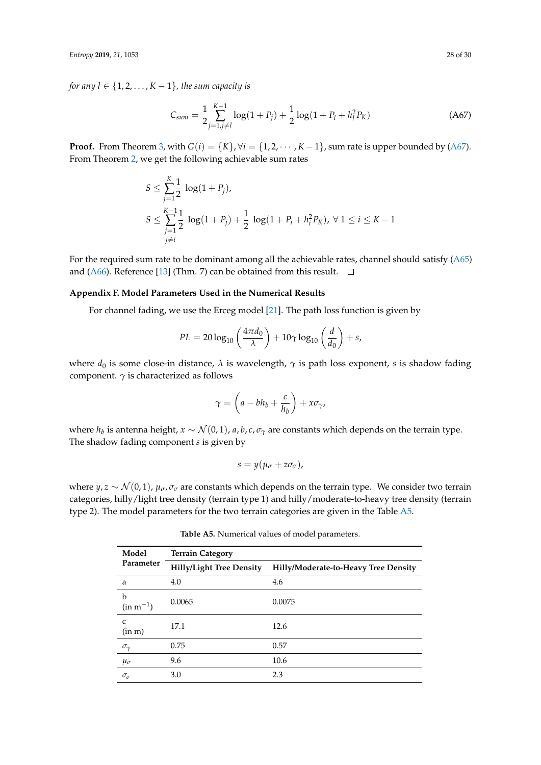*for any l*  $\in$  {1, 2, . . . , *K* − 1}, the sum capacity is

<span id="page-27-1"></span>
$$
C_{sum} = \frac{1}{2} \sum_{j=1, j \neq l}^{K-1} \log(1 + P_j) + \frac{1}{2} \log(1 + P_l + h_l^2 P_K)
$$
 (A67)

**Proof.** From Theorem [3,](#page-3-4) with  $G(i) = \{K\}$ ,  $\forall i = \{1, 2, \dots, K-1\}$ , sum rate is upper bounded by [\(A67\)](#page-27-1). From Theorem [2,](#page-3-3) we get the following achievable sum rates

$$
S \le \sum_{j=1}^{K} \frac{1}{2} \log(1 + P_j),
$$
  
\n
$$
S \le \sum_{\substack{j=1 \ j \neq i}}^{K-1} \frac{1}{2} \log(1 + P_j) + \frac{1}{2} \log(1 + P_i + h_i^2 P_K), \ \forall \ 1 \le i \le K - 1
$$

For the required sum rate to be dominant among all the achievable rates, channel should satisfy [\(A65\)](#page-26-1) and [\(A66\)](#page-26-2). Reference [\[13\]](#page-28-9) (Thm. 7) can be obtained from this result.  $\square$ 

#### <span id="page-27-0"></span>**Appendix F. Model Parameters Used in the Numerical Results**

For channel fading, we use the Erceg model [\[21\]](#page-29-1). The path loss function is given by

$$
PL = 20 \log_{10} \left( \frac{4 \pi d_0}{\lambda} \right) + 10 \gamma \log_{10} \left( \frac{d}{d_0} \right) + s,
$$

where  $d_0$  is some close-in distance,  $\lambda$  is wavelength,  $\gamma$  is path loss exponent, *s* is shadow fading component.  $\gamma$  is characterized as follows

$$
\gamma = \left(a - bh_b + \frac{c}{h_b}\right) + x\sigma_{\gamma},
$$

where  $h_b$  is antenna height,  $x \sim \mathcal{N}(0, 1)$ , *a*, *b*, *c*,  $\sigma_\gamma$  are constants which depends on the terrain type. The shadow fading component *s* is given by

$$
s=y(\mu_{\sigma}+z\sigma_{\sigma}),
$$

<span id="page-27-2"></span>where  $y$ ,  $z \sim \mathcal{N}(0, 1)$ ,  $\mu_{\sigma}$ ,  $\sigma_{\sigma}$  are constants which depends on the terrain type. We consider two terrain categories, hilly/light tree density (terrain type 1) and hilly/moderate-to-heavy tree density (terrain type 2). The model parameters for the two terrain categories are given in the Table [A5.](#page-27-2)

**Model Parameter Terrain Category Hilly/Light Tree Density Hilly/Moderate-to-Heavy Tree Density** a 4.0 4.6 b  $(in m<sup>-1</sup>)$ 0.0065 0.0075 c  $(\text{in m})$  17.1 12.6  $σ<sub>γ</sub>$  0.75 0.57  $\mu_{\sigma}$  9.6 10.6 *σ<sup>σ</sup>* 3.0 2.3

**Table A5.** Numerical values of model parameters.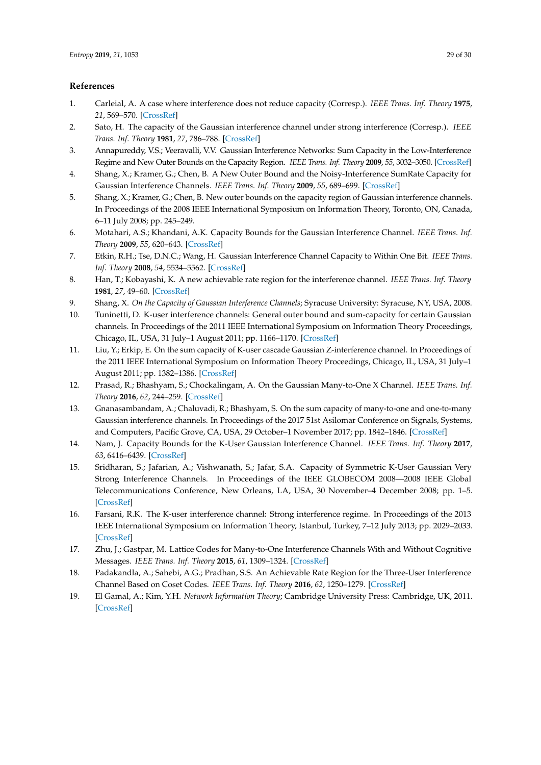## **References**

- <span id="page-28-0"></span>1. Carleial, A. A case where interference does not reduce capacity (Corresp.). *IEEE Trans. Inf. Theory* **1975**, *21*, 569–570. [\[CrossRef\]](http://dx.doi.org/10.1109/TIT.1975.1055432)
- <span id="page-28-2"></span>2. Sato, H. The capacity of the Gaussian interference channel under strong interference (Corresp.). *IEEE Trans. Inf. Theory* **1981**, *27*, 786–788. [\[CrossRef\]](http://dx.doi.org/10.1109/TIT.1981.1056416)
- <span id="page-28-3"></span>3. Annapureddy, V.S.; Veeravalli, V.V. Gaussian Interference Networks: Sum Capacity in the Low-Interference Regime and New Outer Bounds on the Capacity Region. *IEEE Trans. Inf. Theory* **2009**, *55*, 3032–3050. [\[CrossRef\]](http://dx.doi.org/10.1109/TIT.2009.2021380)
- <span id="page-28-18"></span>4. Shang, X.; Kramer, G.; Chen, B. A New Outer Bound and the Noisy-Interference SumRate Capacity for Gaussian Interference Channels. *IEEE Trans. Inf. Theory* **2009**, *55*, 689–699. [\[CrossRef\]](http://dx.doi.org/10.1109/TIT.2008.2009793)
- <span id="page-28-6"></span>5. Shang, X.; Kramer, G.; Chen, B. New outer bounds on the capacity region of Gaussian interference channels. In Proceedings of the 2008 IEEE International Symposium on Information Theory, Toronto, ON, Canada, 6–11 July 2008; pp. 245–249.
- <span id="page-28-4"></span>6. Motahari, A.S.; Khandani, A.K. Capacity Bounds for the Gaussian Interference Channel. *IEEE Trans. Inf. Theory* **2009**, *55*, 620–643. [\[CrossRef\]](http://dx.doi.org/10.1109/TIT.2008.2009807)
- <span id="page-28-1"></span>7. Etkin, R.H.; Tse, D.N.C.; Wang, H. Gaussian Interference Channel Capacity to Within One Bit. *IEEE Trans. Inf. Theory* **2008**, *54*, 5534–5562. [\[CrossRef\]](http://dx.doi.org/10.1109/TIT.2008.2006447)
- <span id="page-28-5"></span>8. Han, T.; Kobayashi, K. A new achievable rate region for the interference channel. *IEEE Trans. Inf. Theory* **1981**, *27*, 49–60. [\[CrossRef\]](http://dx.doi.org/10.1109/TIT.1981.1056307)
- <span id="page-28-7"></span>9. Shang, X. *On the Capacity of Gaussian Interference Channels*; Syracuse University: Syracuse, NY, USA, 2008.
- <span id="page-28-8"></span>10. Tuninetti, D. K-user interference channels: General outer bound and sum-capacity for certain Gaussian channels. In Proceedings of the 2011 IEEE International Symposium on Information Theory Proceedings, Chicago, IL, USA, 31 July–1 August 2011; pp. 1166–1170. [\[CrossRef\]](http://dx.doi.org/10.1109/ISIT.2011.6033716)
- <span id="page-28-10"></span>11. Liu, Y.; Erkip, E. On the sum capacity of K-user cascade Gaussian Z-interference channel. In Proceedings of the 2011 IEEE International Symposium on Information Theory Proceedings, Chicago, IL, USA, 31 July–1 August 2011; pp. 1382–1386. [\[CrossRef\]](http://dx.doi.org/10.1109/ISIT.2011.6033765)
- <span id="page-28-11"></span>12. Prasad, R.; Bhashyam, S.; Chockalingam, A. On the Gaussian Many-to-One X Channel. *IEEE Trans. Inf. Theory* **2016**, *62*, 244–259. [\[CrossRef\]](http://dx.doi.org/10.1109/TIT.2015.2499746)
- <span id="page-28-9"></span>13. Gnanasambandam, A.; Chaluvadi, R.; Bhashyam, S. On the sum capacity of many-to-one and one-to-many Gaussian interference channels. In Proceedings of the 2017 51st Asilomar Conference on Signals, Systems, and Computers, Pacific Grove, CA, USA, 29 October–1 November 2017; pp. 1842–1846. [\[CrossRef\]](http://dx.doi.org/10.1109/ACSSC.2017.8335681)
- <span id="page-28-12"></span>14. Nam, J. Capacity Bounds for the K-User Gaussian Interference Channel. *IEEE Trans. Inf. Theory* **2017**, *63*, 6416–6439. [\[CrossRef\]](http://dx.doi.org/10.1109/TIT.2017.2719698)
- <span id="page-28-13"></span>15. Sridharan, S.; Jafarian, A.; Vishwanath, S.; Jafar, S.A. Capacity of Symmetric K-User Gaussian Very Strong Interference Channels. In Proceedings of the IEEE GLOBECOM 2008—2008 IEEE Global Telecommunications Conference, New Orleans, LA, USA, 30 November–4 December 2008; pp. 1–5. [\[CrossRef\]](http://dx.doi.org/10.1109/GLOCOM.2008.ECP.180)
- <span id="page-28-14"></span>16. Farsani, R.K. The K-user interference channel: Strong interference regime. In Proceedings of the 2013 IEEE International Symposium on Information Theory, Istanbul, Turkey, 7–12 July 2013; pp. 2029–2033. [\[CrossRef\]](http://dx.doi.org/10.1109/ISIT.2013.6620582)
- <span id="page-28-15"></span>17. Zhu, J.; Gastpar, M. Lattice Codes for Many-to-One Interference Channels With and Without Cognitive Messages. *IEEE Trans. Inf. Theory* **2015**, *61*, 1309–1324. [\[CrossRef\]](http://dx.doi.org/10.1109/TIT.2015.2394782)
- <span id="page-28-16"></span>18. Padakandla, A.; Sahebi, A.G.; Pradhan, S.S. An Achievable Rate Region for the Three-User Interference Channel Based on Coset Codes. *IEEE Trans. Inf. Theory* **2016**, *62*, 1250–1279. [\[CrossRef\]](http://dx.doi.org/10.1109/TIT.2016.2518171)
- <span id="page-28-17"></span>19. El Gamal, A.; Kim, Y.H. *Network Information Theory*; Cambridge University Press: Cambridge, UK, 2011. [\[CrossRef\]](http://dx.doi.org/10.1017/CBO9781139030687)